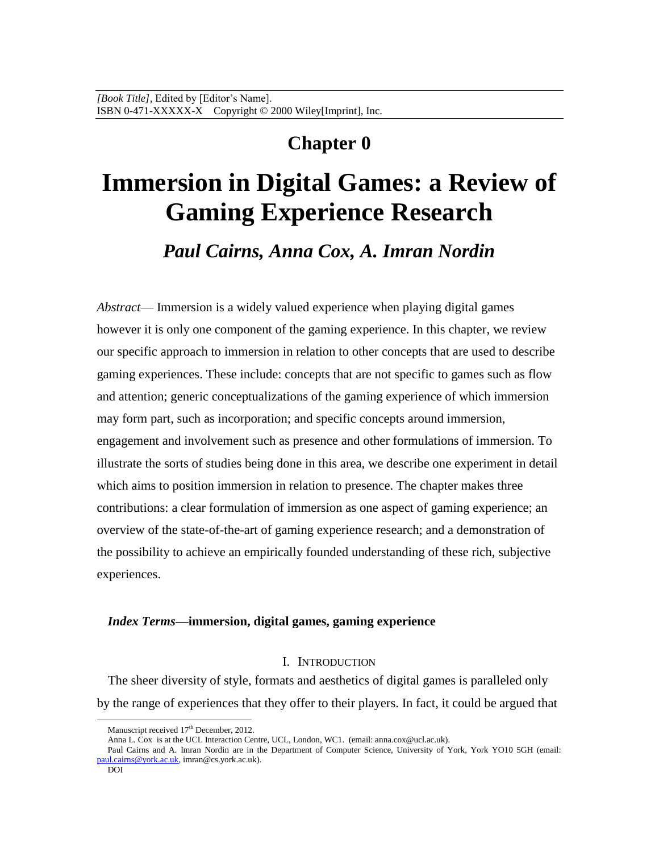# **Chapter 0**

# **Immersion in Digital Games: a Review of Gaming Experience Research**

*Paul Cairns, Anna Cox, A. Imran Nordin*

*Abstract*— Immersion is a widely valued experience when playing digital games however it is only one component of the gaming experience. In this chapter, we review our specific approach to immersion in relation to other concepts that are used to describe gaming experiences. These include: concepts that are not specific to games such as flow and attention; generic conceptualizations of the gaming experience of which immersion may form part, such as incorporation; and specific concepts around immersion, engagement and involvement such as presence and other formulations of immersion. To illustrate the sorts of studies being done in this area, we describe one experiment in detail which aims to position immersion in relation to presence. The chapter makes three contributions: a clear formulation of immersion as one aspect of gaming experience; an overview of the state-of-the-art of gaming experience research; and a demonstration of the possibility to achieve an empirically founded understanding of these rich, subjective experiences.

# *Index Terms***—immersion, digital games, gaming experience**

#### I. INTRODUCTION

The sheer diversity of style, formats and aesthetics of digital games is paralleled only by the range of experiences that they offer to their players. In fact, it could be argued that

 $\overline{a}$ 

Manuscript received 17<sup>th</sup> December, 2012.

Anna L. Cox is at the UCL Interaction Centre, UCL, London, WC1. (email: anna.cox@ucl.ac.uk).

Paul Cairns and A. Imran Nordin are in the Department of Computer Science, University of York, York YO10 5GH (email: [paul.cairns@york.ac.uk,](mailto:paul.cairns@york.ac.uk) imran@cs.york.ac.uk).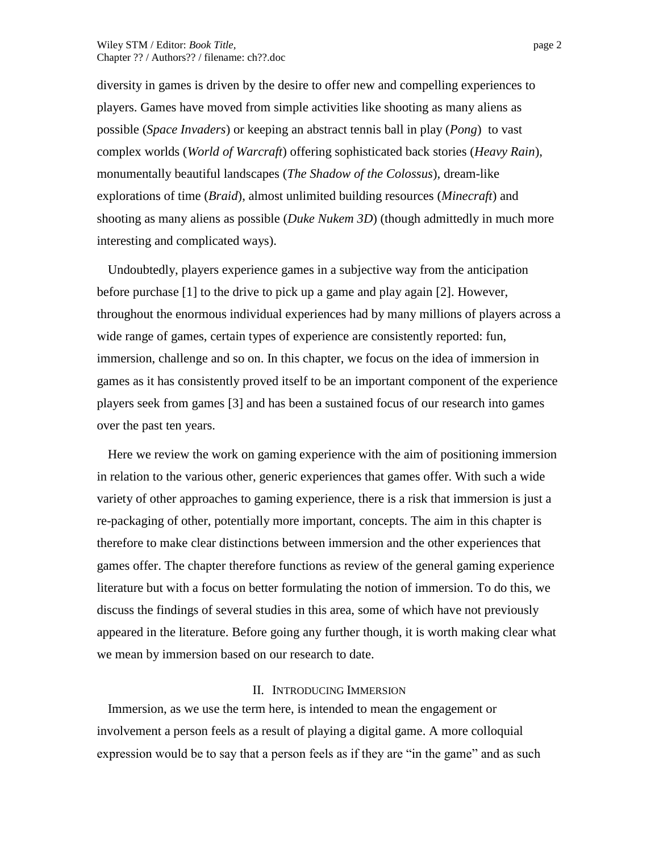diversity in games is driven by the desire to offer new and compelling experiences to players. Games have moved from simple activities like shooting as many aliens as possible (*Space Invaders*) or keeping an abstract tennis ball in play (*Pong*) to vast complex worlds (*World of Warcraft*) offering sophisticated back stories (*Heavy Rain*), monumentally beautiful landscapes (*The Shadow of the Colossus*), dream-like explorations of time (*Braid*), almost unlimited building resources (*Minecraft*) and shooting as many aliens as possible (*Duke Nukem 3D*) (though admittedly in much more interesting and complicated ways).

Undoubtedly, players experience games in a subjective way from the anticipation before purchase [\[1\]](#page-28-0) to the drive to pick up a game and play again [\[2\].](#page-28-1) However, throughout the enormous individual experiences had by many millions of players across a wide range of games, certain types of experience are consistently reported: fun, immersion, challenge and so on. In this chapter, we focus on the idea of immersion in games as it has consistently proved itself to be an important component of the experience players seek from games [\[3\]](#page-28-2) and has been a sustained focus of our research into games over the past ten years.

Here we review the work on gaming experience with the aim of positioning immersion in relation to the various other, generic experiences that games offer. With such a wide variety of other approaches to gaming experience, there is a risk that immersion is just a re-packaging of other, potentially more important, concepts. The aim in this chapter is therefore to make clear distinctions between immersion and the other experiences that games offer. The chapter therefore functions as review of the general gaming experience literature but with a focus on better formulating the notion of immersion. To do this, we discuss the findings of several studies in this area, some of which have not previously appeared in the literature. Before going any further though, it is worth making clear what we mean by immersion based on our research to date.

#### II. INTRODUCING IMMERSION

Immersion, as we use the term here, is intended to mean the engagement or involvement a person feels as a result of playing a digital game. A more colloquial expression would be to say that a person feels as if they are "in the game" and as such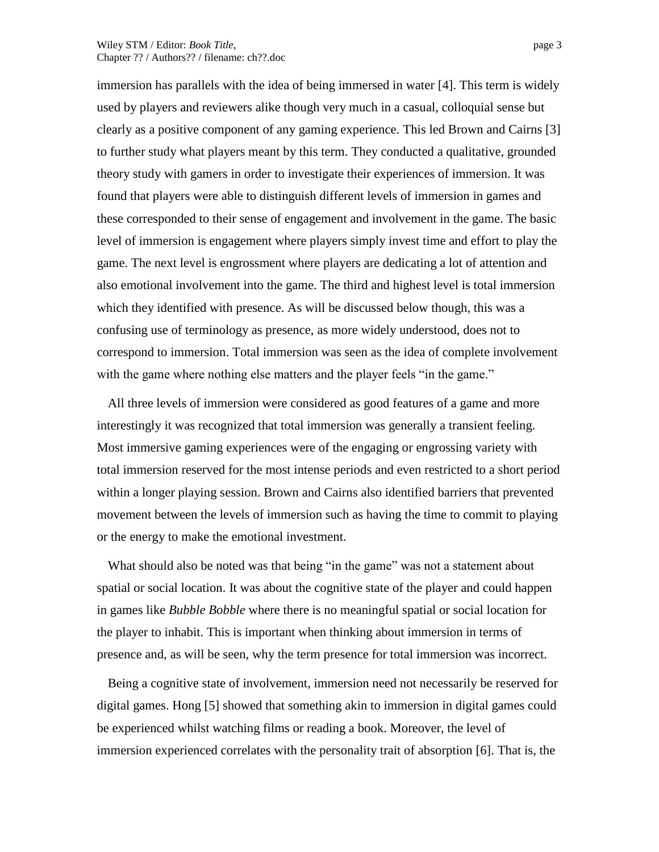#### Wiley STM / Editor: *Book Title,*  Chapter ?? / Authors?? / filename: ch??.doc

immersion has parallels with the idea of being immersed in water [\[4\].](#page-28-3) This term is widely used by players and reviewers alike though very much in a casual, colloquial sense but clearly as a positive component of any gaming experience. This led Brown and Cairns [\[3\]](#page-28-2) to further study what players meant by this term. They conducted a qualitative, grounded theory study with gamers in order to investigate their experiences of immersion. It was found that players were able to distinguish different levels of immersion in games and these corresponded to their sense of engagement and involvement in the game. The basic level of immersion is engagement where players simply invest time and effort to play the game. The next level is engrossment where players are dedicating a lot of attention and also emotional involvement into the game. The third and highest level is total immersion which they identified with presence. As will be discussed below though, this was a confusing use of terminology as presence, as more widely understood, does not to correspond to immersion. Total immersion was seen as the idea of complete involvement with the game where nothing else matters and the player feels "in the game."

All three levels of immersion were considered as good features of a game and more interestingly it was recognized that total immersion was generally a transient feeling. Most immersive gaming experiences were of the engaging or engrossing variety with total immersion reserved for the most intense periods and even restricted to a short period within a longer playing session. Brown and Cairns also identified barriers that prevented movement between the levels of immersion such as having the time to commit to playing or the energy to make the emotional investment.

What should also be noted was that being "in the game" was not a statement about spatial or social location. It was about the cognitive state of the player and could happen in games like *Bubble Bobble* where there is no meaningful spatial or social location for the player to inhabit. This is important when thinking about immersion in terms of presence and, as will be seen, why the term presence for total immersion was incorrect.

Being a cognitive state of involvement, immersion need not necessarily be reserved for digital games. Hong [\[5\]](#page-28-4) showed that something akin to immersion in digital games could be experienced whilst watching films or reading a book. Moreover, the level of immersion experienced correlates with the personality trait of absorption [\[6\].](#page-28-5) That is, the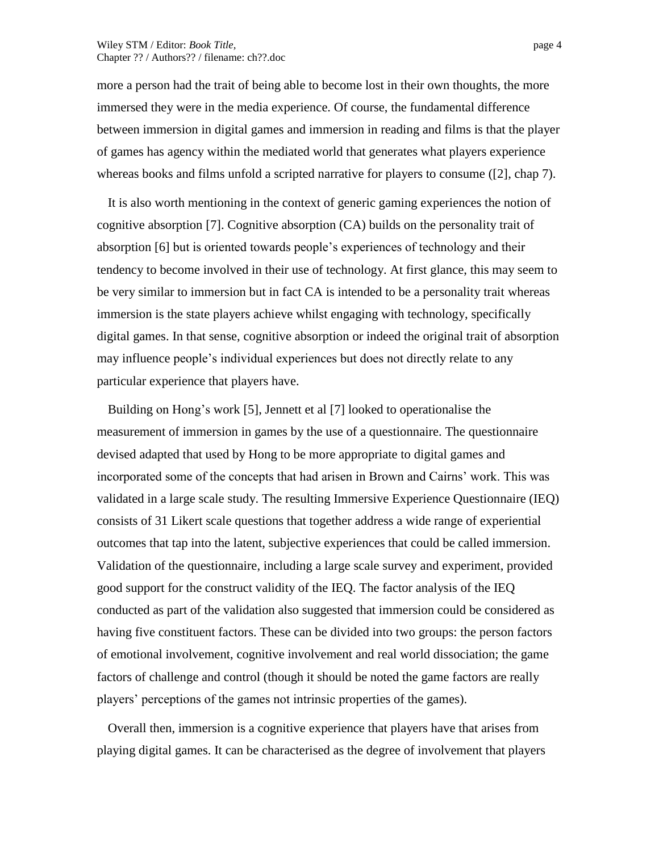more a person had the trait of being able to become lost in their own thoughts, the more immersed they were in the media experience. Of course, the fundamental difference between immersion in digital games and immersion in reading and films is that the player of games has agency within the mediated world that generates what players experience whereas books and films unfold a scripted narrative for players to consume [\(\[2\],](#page-28-1) chap 7).

It is also worth mentioning in the context of generic gaming experiences the notion of cognitive absorption [\[7\].](#page-28-6) Cognitive absorption (CA) builds on the personality trait of absorption [\[6\]](#page-28-5) but is oriented towards people's experiences of technology and their tendency to become involved in their use of technology. At first glance, this may seem to be very similar to immersion but in fact CA is intended to be a personality trait whereas immersion is the state players achieve whilst engaging with technology, specifically digital games. In that sense, cognitive absorption or indeed the original trait of absorption may influence people's individual experiences but does not directly relate to any particular experience that players have.

Building on Hong's work [\[5\],](#page-28-4) Jennett et al [\[7\]](#page-28-7) looked to operationalise the measurement of immersion in games by the use of a questionnaire. The questionnaire devised adapted that used by Hong to be more appropriate to digital games and incorporated some of the concepts that had arisen in Brown and Cairns' work. This was validated in a large scale study. The resulting Immersive Experience Questionnaire (IEQ) consists of 31 Likert scale questions that together address a wide range of experiential outcomes that tap into the latent, subjective experiences that could be called immersion. Validation of the questionnaire, including a large scale survey and experiment, provided good support for the construct validity of the IEQ. The factor analysis of the IEQ conducted as part of the validation also suggested that immersion could be considered as having five constituent factors. These can be divided into two groups: the person factors of emotional involvement, cognitive involvement and real world dissociation; the game factors of challenge and control (though it should be noted the game factors are really players' perceptions of the games not intrinsic properties of the games).

Overall then, immersion is a cognitive experience that players have that arises from playing digital games. It can be characterised as the degree of involvement that players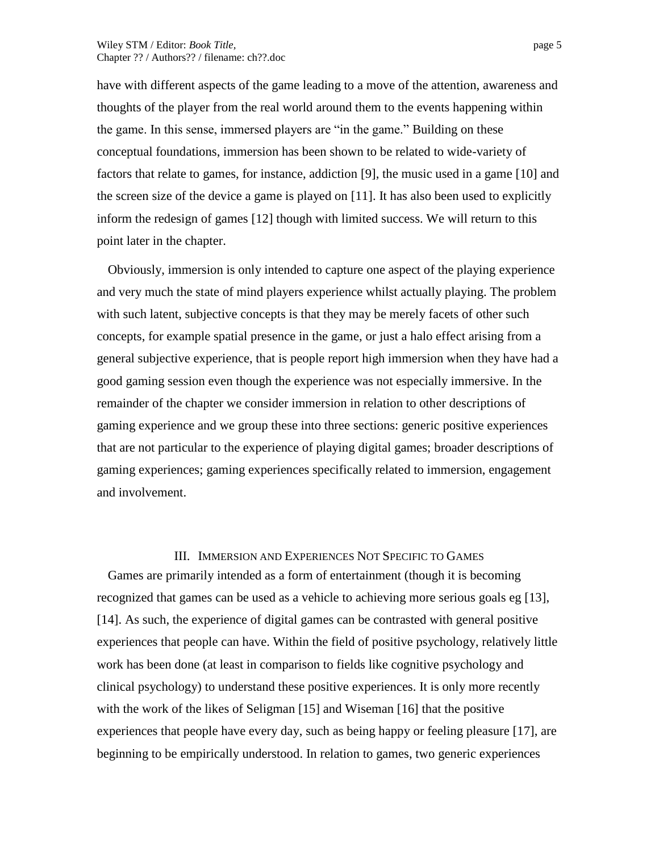have with different aspects of the game leading to a move of the attention, awareness and thoughts of the player from the real world around them to the events happening within the game. In this sense, immersed players are "in the game." Building on these conceptual foundations, immersion has been shown to be related to wide-variety of factors that relate to games, for instance, addiction [\[9\],](#page-28-8) the music used in a game [\[10\]](#page-28-9) and the screen size of the device a game is played on [\[11\].](#page-28-10) It has also been used to explicitly inform the redesign of games [\[12\]](#page-28-11) though with limited success. We will return to this point later in the chapter.

Obviously, immersion is only intended to capture one aspect of the playing experience and very much the state of mind players experience whilst actually playing. The problem with such latent, subjective concepts is that they may be merely facets of other such concepts, for example spatial presence in the game, or just a halo effect arising from a general subjective experience, that is people report high immersion when they have had a good gaming session even though the experience was not especially immersive. In the remainder of the chapter we consider immersion in relation to other descriptions of gaming experience and we group these into three sections: generic positive experiences that are not particular to the experience of playing digital games; broader descriptions of gaming experiences; gaming experiences specifically related to immersion, engagement and involvement.

# III. IMMERSION AND EXPERIENCES NOT SPECIFIC TO GAMES

Games are primarily intended as a form of entertainment (though it is becoming recognized that games can be used as a vehicle to achieving more serious goals eg [\[13\],](#page-28-12) [\[14\].](#page-28-13) As such, the experience of digital games can be contrasted with general positive experiences that people can have. Within the field of positive psychology, relatively little work has been done (at least in comparison to fields like cognitive psychology and clinical psychology) to understand these positive experiences. It is only more recently with the work of the likes of Seligman [\[15\]](#page-28-14) and Wiseman [\[16\]](#page-28-15) that the positive experiences that people have every day, such as being happy or feeling pleasure [\[17\],](#page-28-16) are beginning to be empirically understood. In relation to games, two generic experiences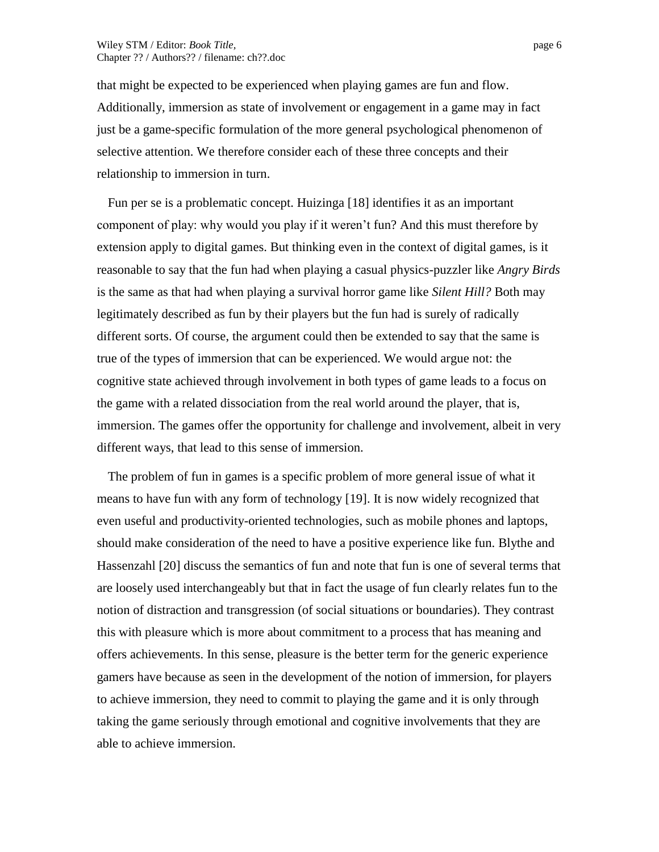that might be expected to be experienced when playing games are fun and flow. Additionally, immersion as state of involvement or engagement in a game may in fact just be a game-specific formulation of the more general psychological phenomenon of selective attention. We therefore consider each of these three concepts and their relationship to immersion in turn.

Fun per se is a problematic concept. Huizinga [\[18\]](#page-28-17) identifies it as an important component of play: why would you play if it weren't fun? And this must therefore by extension apply to digital games. But thinking even in the context of digital games, is it reasonable to say that the fun had when playing a casual physics-puzzler like *Angry Birds*  is the same as that had when playing a survival horror game like *Silent Hill?* Both may legitimately described as fun by their players but the fun had is surely of radically different sorts. Of course, the argument could then be extended to say that the same is true of the types of immersion that can be experienced. We would argue not: the cognitive state achieved through involvement in both types of game leads to a focus on the game with a related dissociation from the real world around the player, that is, immersion. The games offer the opportunity for challenge and involvement, albeit in very different ways, that lead to this sense of immersion.

The problem of fun in games is a specific problem of more general issue of what it means to have fun with any form of technology [\[19\].](#page-28-18) It is now widely recognized that even useful and productivity-oriented technologies, such as mobile phones and laptops, should make consideration of the need to have a positive experience like fun. Blythe and Hassenzahl [\[20\]](#page-28-19) discuss the semantics of fun and note that fun is one of several terms that are loosely used interchangeably but that in fact the usage of fun clearly relates fun to the notion of distraction and transgression (of social situations or boundaries). They contrast this with pleasure which is more about commitment to a process that has meaning and offers achievements. In this sense, pleasure is the better term for the generic experience gamers have because as seen in the development of the notion of immersion, for players to achieve immersion, they need to commit to playing the game and it is only through taking the game seriously through emotional and cognitive involvements that they are able to achieve immersion.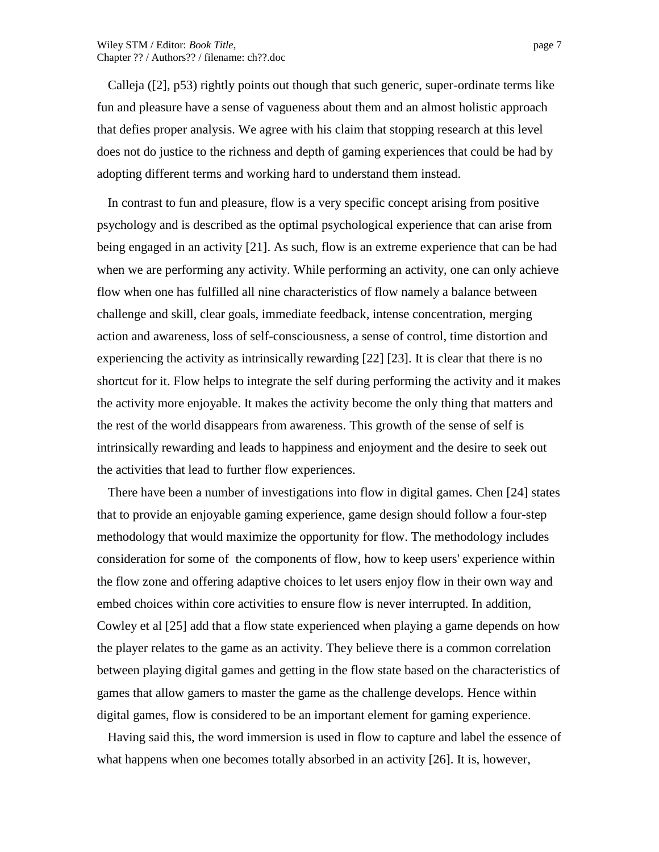Calleja  $(2)$ , p53) rightly points out though that such generic, super-ordinate terms like fun and pleasure have a sense of vagueness about them and an almost holistic approach that defies proper analysis. We agree with his claim that stopping research at this level does not do justice to the richness and depth of gaming experiences that could be had by adopting different terms and working hard to understand them instead.

In contrast to fun and pleasure, flow is a very specific concept arising from positive psychology and is described as the optimal psychological experience that can arise from being engaged in an activity [\[21\].](#page-28-20) As such, flow is an extreme experience that can be had when we are performing any activity. While performing an activity, one can only achieve flow when one has fulfilled all nine characteristics of flow namely a balance between challenge and skill, clear goals, immediate feedback, intense concentration, merging action and awareness, loss of self-consciousness, a sense of control, time distortion and experiencing the activity as intrinsically rewarding [\[22\]](#page-28-21) [\[23\].](#page-29-0) It is clear that there is no shortcut for it. Flow helps to integrate the self during performing the activity and it makes the activity more enjoyable. It makes the activity become the only thing that matters and the rest of the world disappears from awareness. This growth of the sense of self is intrinsically rewarding and leads to happiness and enjoyment and the desire to seek out the activities that lead to further flow experiences.

There have been a number of investigations into flow in digital games. Chen [\[24\]](#page-29-1) states that to provide an enjoyable gaming experience, game design should follow a four-step methodology that would maximize the opportunity for flow. The methodology includes consideration for some of the components of flow, how to keep users' experience within the flow zone and offering adaptive choices to let users enjoy flow in their own way and embed choices within core activities to ensure flow is never interrupted. In addition, Cowley et al [\[25\]](#page-29-2) add that a flow state experienced when playing a game depends on how the player relates to the game as an activity. They believe there is a common correlation between playing digital games and getting in the flow state based on the characteristics of games that allow gamers to master the game as the challenge develops. Hence within digital games, flow is considered to be an important element for gaming experience.

Having said this, the word immersion is used in flow to capture and label the essence of what happens when one becomes totally absorbed in an activity [\[26\].](#page-29-3) It is, however,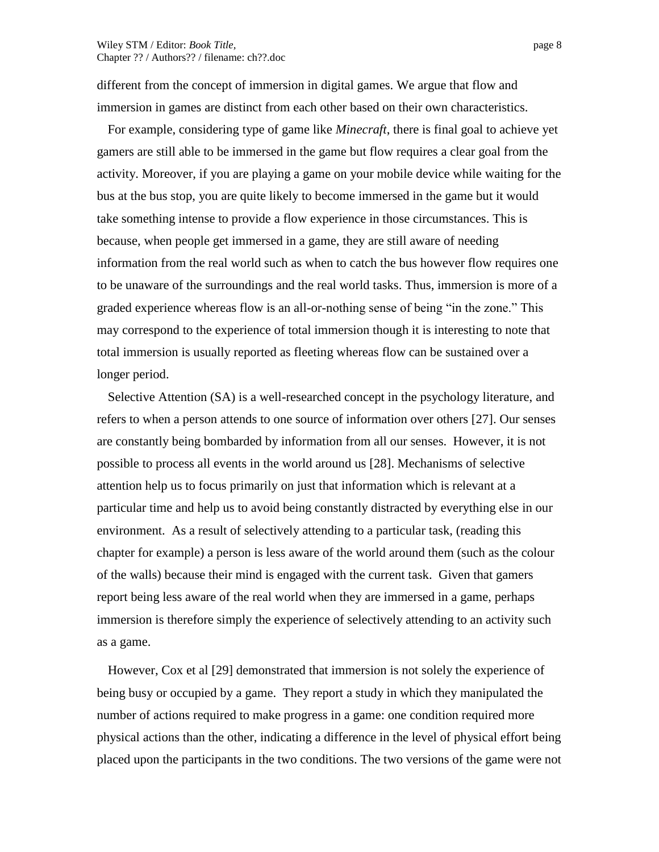different from the concept of immersion in digital games. We argue that flow and immersion in games are distinct from each other based on their own characteristics.

For example, considering type of game like *Minecraft*, there is final goal to achieve yet gamers are still able to be immersed in the game but flow requires a clear goal from the activity. Moreover, if you are playing a game on your mobile device while waiting for the bus at the bus stop, you are quite likely to become immersed in the game but it would take something intense to provide a flow experience in those circumstances. This is because, when people get immersed in a game, they are still aware of needing information from the real world such as when to catch the bus however flow requires one to be unaware of the surroundings and the real world tasks. Thus, immersion is more of a graded experience whereas flow is an all-or-nothing sense of being "in the zone." This may correspond to the experience of total immersion though it is interesting to note that total immersion is usually reported as fleeting whereas flow can be sustained over a longer period.

Selective Attention (SA) is a well-researched concept in the psychology literature, and refers to when a person attends to one source of information over others [\[27\].](#page-29-4) Our senses are constantly being bombarded by information from all our senses. However, it is not possible to process all events in the world around us [\[28\].](#page-29-5) Mechanisms of selective attention help us to focus primarily on just that information which is relevant at a particular time and help us to avoid being constantly distracted by everything else in our environment. As a result of selectively attending to a particular task, (reading this chapter for example) a person is less aware of the world around them (such as the colour of the walls) because their mind is engaged with the current task. Given that gamers report being less aware of the real world when they are immersed in a game, perhaps immersion is therefore simply the experience of selectively attending to an activity such as a game.

However, Cox et al [\[29\]](#page-29-6) demonstrated that immersion is not solely the experience of being busy or occupied by a game. They report a study in which they manipulated the number of actions required to make progress in a game: one condition required more physical actions than the other, indicating a difference in the level of physical effort being placed upon the participants in the two conditions. The two versions of the game were not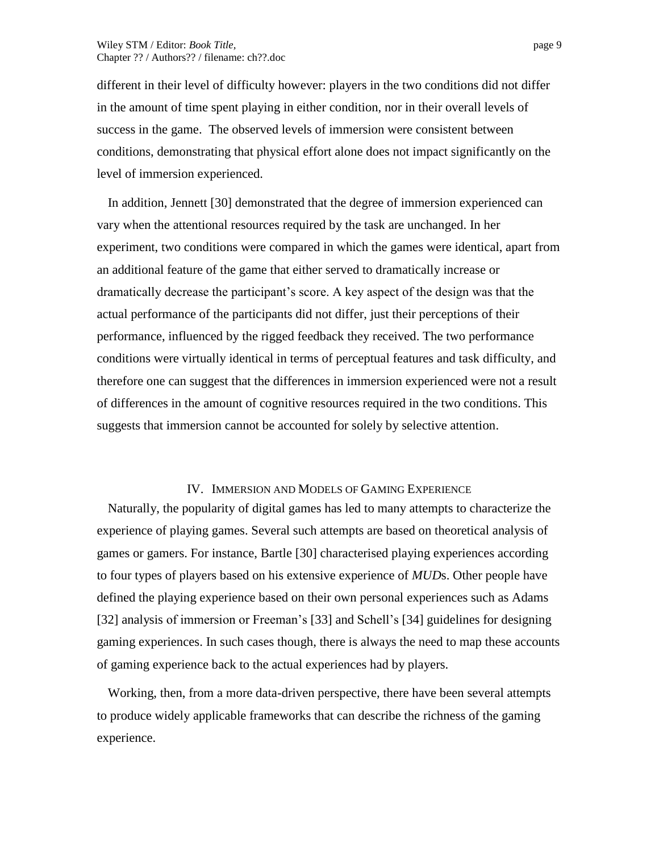different in their level of difficulty however: players in the two conditions did not differ in the amount of time spent playing in either condition, nor in their overall levels of success in the game. The observed levels of immersion were consistent between conditions, demonstrating that physical effort alone does not impact significantly on the level of immersion experienced.

In addition, Jennett [\[30\]](#page-29-7) demonstrated that the degree of immersion experienced can vary when the attentional resources required by the task are unchanged. In her experiment, two conditions were compared in which the games were identical, apart from an additional feature of the game that either served to dramatically increase or dramatically decrease the participant's score. A key aspect of the design was that the actual performance of the participants did not differ, just their perceptions of their performance, influenced by the rigged feedback they received. The two performance conditions were virtually identical in terms of perceptual features and task difficulty, and therefore one can suggest that the differences in immersion experienced were not a result of differences in the amount of cognitive resources required in the two conditions. This suggests that immersion cannot be accounted for solely by selective attention.

#### IV. IMMERSION AND MODELS OF GAMING EXPERIENCE

Naturally, the popularity of digital games has led to many attempts to characterize the experience of playing games. Several such attempts are based on theoretical analysis of games or gamers. For instance, Bartle [\[30\]](#page-29-8) characterised playing experiences according to four types of players based on his extensive experience of *MUD*s. Other people have defined the playing experience based on their own personal experiences such as Adams [\[32\]](#page-29-9) analysis of immersion or Freeman's [\[33\]](#page-29-10) and Schell's [\[34\]](#page-29-11) guidelines for designing gaming experiences. In such cases though, there is always the need to map these accounts of gaming experience back to the actual experiences had by players.

Working, then, from a more data-driven perspective, there have been several attempts to produce widely applicable frameworks that can describe the richness of the gaming experience.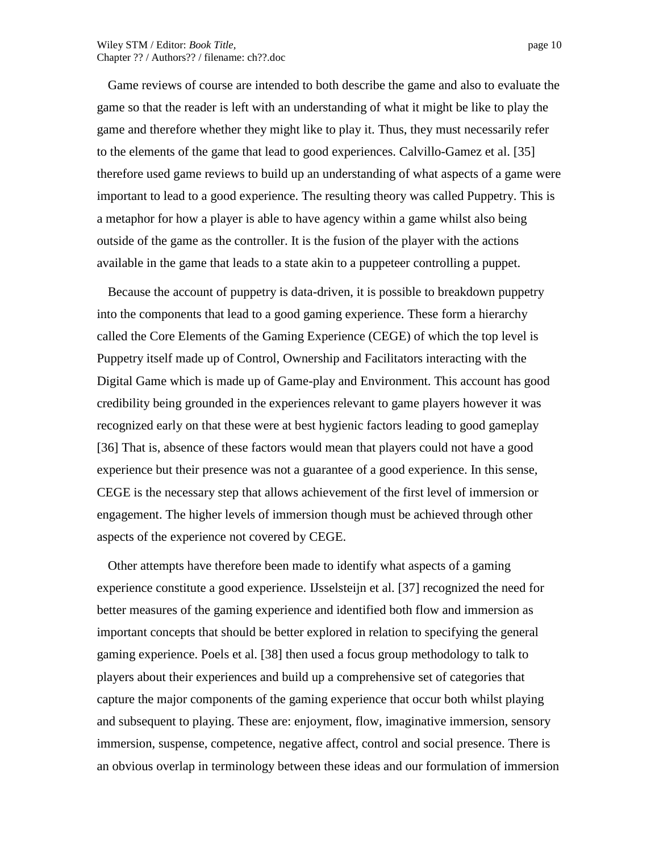Game reviews of course are intended to both describe the game and also to evaluate the game so that the reader is left with an understanding of what it might be like to play the game and therefore whether they might like to play it. Thus, they must necessarily refer to the elements of the game that lead to good experiences. Calvillo-Gamez et al. [\[35\]](#page-29-12) therefore used game reviews to build up an understanding of what aspects of a game were important to lead to a good experience. The resulting theory was called Puppetry. This is a metaphor for how a player is able to have agency within a game whilst also being outside of the game as the controller. It is the fusion of the player with the actions available in the game that leads to a state akin to a puppeteer controlling a puppet.

Because the account of puppetry is data-driven, it is possible to breakdown puppetry into the components that lead to a good gaming experience. These form a hierarchy called the Core Elements of the Gaming Experience (CEGE) of which the top level is Puppetry itself made up of Control, Ownership and Facilitators interacting with the Digital Game which is made up of Game-play and Environment. This account has good credibility being grounded in the experiences relevant to game players however it was recognized early on that these were at best hygienic factors leading to good gameplay [\[36\]](#page-29-13) That is, absence of these factors would mean that players could not have a good experience but their presence was not a guarantee of a good experience. In this sense, CEGE is the necessary step that allows achievement of the first level of immersion or engagement. The higher levels of immersion though must be achieved through other aspects of the experience not covered by CEGE.

Other attempts have therefore been made to identify what aspects of a gaming experience constitute a good experience. IJsselsteijn et al. [\[37\]](#page-29-14) recognized the need for better measures of the gaming experience and identified both flow and immersion as important concepts that should be better explored in relation to specifying the general gaming experience. Poels et al. [\[38\]](#page-29-15) then used a focus group methodology to talk to players about their experiences and build up a comprehensive set of categories that capture the major components of the gaming experience that occur both whilst playing and subsequent to playing. These are: enjoyment, flow, imaginative immersion, sensory immersion, suspense, competence, negative affect, control and social presence. There is an obvious overlap in terminology between these ideas and our formulation of immersion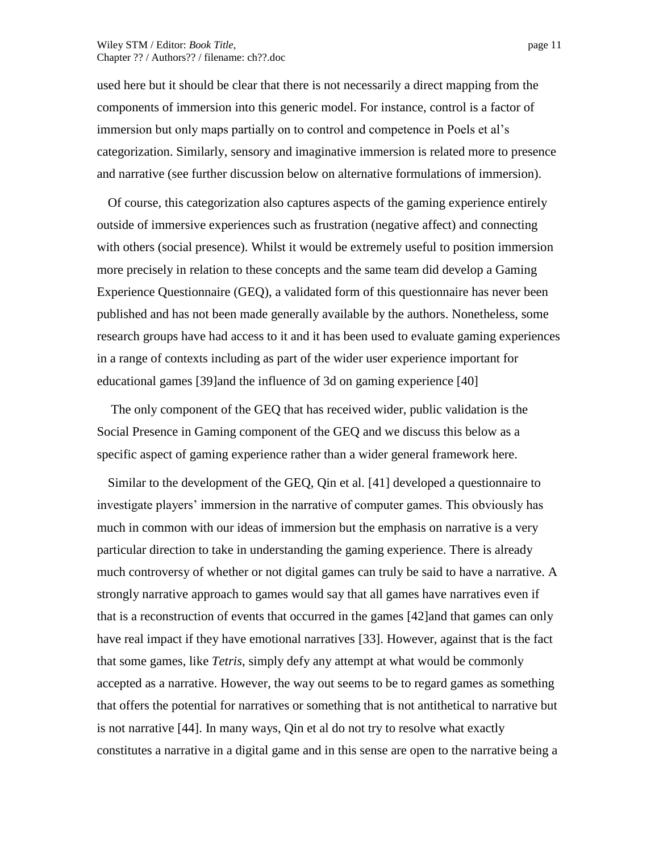used here but it should be clear that there is not necessarily a direct mapping from the components of immersion into this generic model. For instance, control is a factor of immersion but only maps partially on to control and competence in Poels et al's categorization. Similarly, sensory and imaginative immersion is related more to presence and narrative (see further discussion below on alternative formulations of immersion).

Of course, this categorization also captures aspects of the gaming experience entirely outside of immersive experiences such as frustration (negative affect) and connecting with others (social presence). Whilst it would be extremely useful to position immersion more precisely in relation to these concepts and the same team did develop a Gaming Experience Questionnaire (GEQ), a validated form of this questionnaire has never been published and has not been made generally available by the authors. Nonetheless, some research groups have had access to it and it has been used to evaluate gaming experiences in a range of contexts including as part of the wider user experience important for educational games [\[39\]a](#page-29-16)nd the influence of 3d on gaming experience [\[40\]](#page-29-17)

The only component of the GEQ that has received wider, public validation is the Social Presence in Gaming component of the GEQ and we discuss this below as a specific aspect of gaming experience rather than a wider general framework here.

Similar to the development of the GEQ, Qin et al. [\[41\]](#page-29-18) developed a questionnaire to investigate players' immersion in the narrative of computer games. This obviously has much in common with our ideas of immersion but the emphasis on narrative is a very particular direction to take in understanding the gaming experience. There is already much controversy of whether or not digital games can truly be said to have a narrative. A strongly narrative approach to games would say that all games have narratives even if that is a reconstruction of events that occurred in the games [\[42\]a](#page-29-19)nd that games can only have real impact if they have emotional narratives [\[33\].](#page-29-10) However, against that is the fact that some games, like *Tetris*, simply defy any attempt at what would be commonly accepted as a narrative. However, the way out seems to be to regard games as something that offers the potential for narratives or something that is not antithetical to narrative but is not narrative [\[44\].](#page-29-20) In many ways, Qin et al do not try to resolve what exactly constitutes a narrative in a digital game and in this sense are open to the narrative being a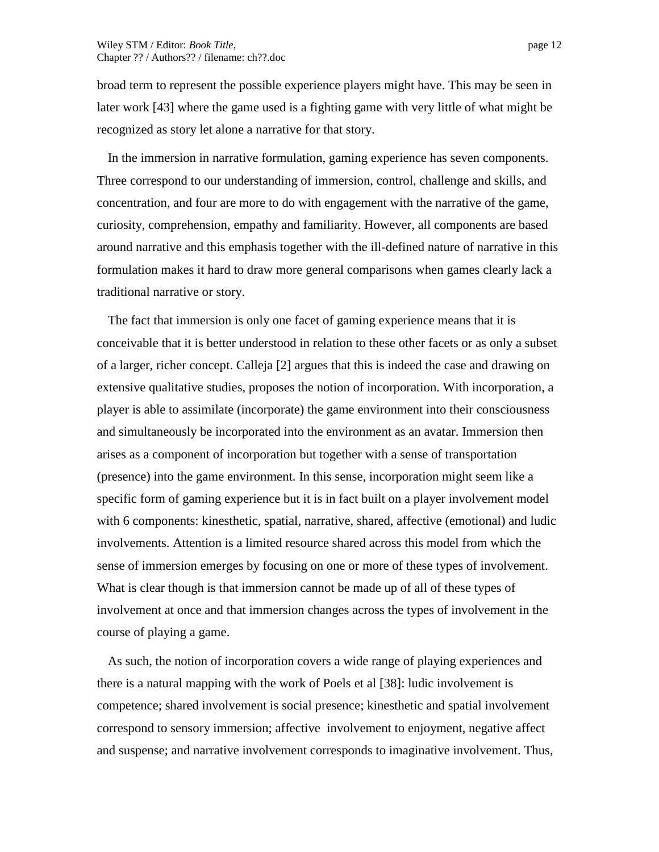broad term to represent the possible experience players might have. This may be seen in later work [\[43\]](#page-29-21) where the game used is a fighting game with very little of what might be recognized as story let alone a narrative for that story.

In the immersion in narrative formulation, gaming experience has seven components. Three correspond to our understanding of immersion, control, challenge and skills, and concentration, and four are more to do with engagement with the narrative of the game, curiosity, comprehension, empathy and familiarity. However, all components are based around narrative and this emphasis together with the ill-defined nature of narrative in this formulation makes it hard to draw more general comparisons when games clearly lack a traditional narrative or story.

The fact that immersion is only one facet of gaming experience means that it is conceivable that it is better understood in relation to these other facets or as only a subset of a larger, richer concept. Calleja [\[2\]](#page-28-1) argues that this is indeed the case and drawing on extensive qualitative studies, proposes the notion of incorporation. With incorporation, a player is able to assimilate (incorporate) the game environment into their consciousness and simultaneously be incorporated into the environment as an avatar. Immersion then arises as a component of incorporation but together with a sense of transportation (presence) into the game environment. In this sense, incorporation might seem like a specific form of gaming experience but it is in fact built on a player involvement model with 6 components: kinesthetic, spatial, narrative, shared, affective (emotional) and ludic involvements. Attention is a limited resource shared across this model from which the sense of immersion emerges by focusing on one or more of these types of involvement. What is clear though is that immersion cannot be made up of all of these types of involvement at once and that immersion changes across the types of involvement in the course of playing a game.

As such, the notion of incorporation covers a wide range of playing experiences and there is a natural mapping with the work of Poels et al [\[38\]:](#page-29-15) ludic involvement is competence; shared involvement is social presence; kinesthetic and spatial involvement correspond to sensory immersion; affective involvement to enjoyment, negative affect and suspense; and narrative involvement corresponds to imaginative involvement. Thus,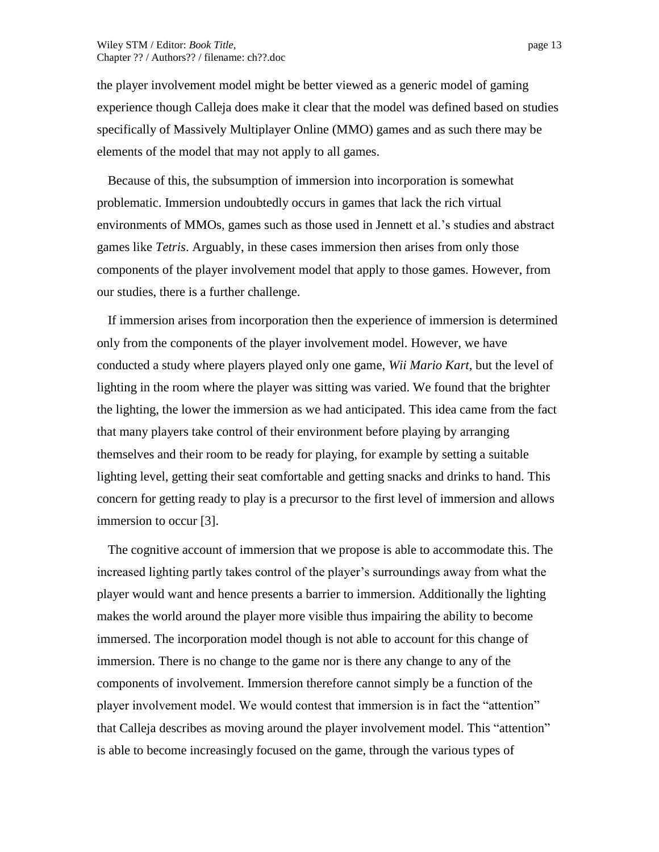the player involvement model might be better viewed as a generic model of gaming experience though Calleja does make it clear that the model was defined based on studies specifically of Massively Multiplayer Online (MMO) games and as such there may be elements of the model that may not apply to all games.

Because of this, the subsumption of immersion into incorporation is somewhat problematic. Immersion undoubtedly occurs in games that lack the rich virtual environments of MMOs, games such as those used in Jennett et al.'s studies and abstract games like *Tetris*. Arguably, in these cases immersion then arises from only those components of the player involvement model that apply to those games. However, from our studies, there is a further challenge.

If immersion arises from incorporation then the experience of immersion is determined only from the components of the player involvement model. However, we have conducted a study where players played only one game, *Wii Mario Kart*, but the level of lighting in the room where the player was sitting was varied. We found that the brighter the lighting, the lower the immersion as we had anticipated. This idea came from the fact that many players take control of their environment before playing by arranging themselves and their room to be ready for playing, for example by setting a suitable lighting level, getting their seat comfortable and getting snacks and drinks to hand. This concern for getting ready to play is a precursor to the first level of immersion and allows immersion to occur [\[3\].](#page-28-2)

The cognitive account of immersion that we propose is able to accommodate this. The increased lighting partly takes control of the player's surroundings away from what the player would want and hence presents a barrier to immersion. Additionally the lighting makes the world around the player more visible thus impairing the ability to become immersed. The incorporation model though is not able to account for this change of immersion. There is no change to the game nor is there any change to any of the components of involvement. Immersion therefore cannot simply be a function of the player involvement model. We would contest that immersion is in fact the "attention" that Calleja describes as moving around the player involvement model. This "attention" is able to become increasingly focused on the game, through the various types of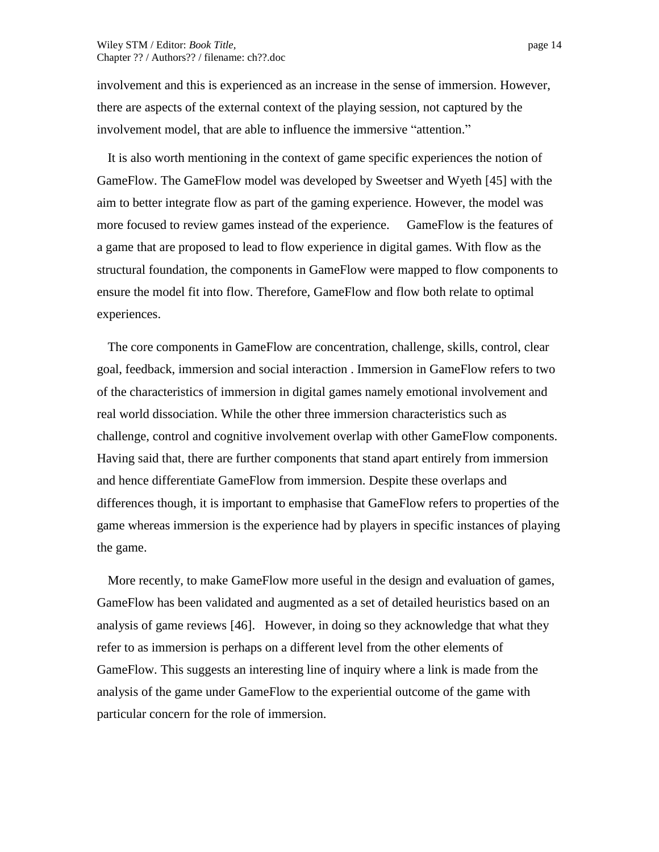involvement and this is experienced as an increase in the sense of immersion. However, there are aspects of the external context of the playing session, not captured by the involvement model, that are able to influence the immersive "attention."

It is also worth mentioning in the context of game specific experiences the notion of GameFlow. The GameFlow model was developed by Sweetser and Wyeth [\[45\]](#page-29-22) with the aim to better integrate flow as part of the gaming experience. However, the model was more focused to review games instead of the experience. GameFlow is the features of a game that are proposed to lead to flow experience in digital games. With flow as the structural foundation, the components in GameFlow were mapped to flow components to ensure the model fit into flow. Therefore, GameFlow and flow both relate to optimal experiences.

The core components in GameFlow are concentration, challenge, skills, control, clear goal, feedback, immersion and social interaction . Immersion in GameFlow refers to two of the characteristics of immersion in digital games namely emotional involvement and real world dissociation. While the other three immersion characteristics such as challenge, control and cognitive involvement overlap with other GameFlow components. Having said that, there are further components that stand apart entirely from immersion and hence differentiate GameFlow from immersion. Despite these overlaps and differences though, it is important to emphasise that GameFlow refers to properties of the game whereas immersion is the experience had by players in specific instances of playing the game.

More recently, to make GameFlow more useful in the design and evaluation of games, GameFlow has been validated and augmented as a set of detailed heuristics based on an analysis of game reviews [\[46\].](#page-29-23) However, in doing so they acknowledge that what they refer to as immersion is perhaps on a different level from the other elements of GameFlow. This suggests an interesting line of inquiry where a link is made from the analysis of the game under GameFlow to the experiential outcome of the game with particular concern for the role of immersion.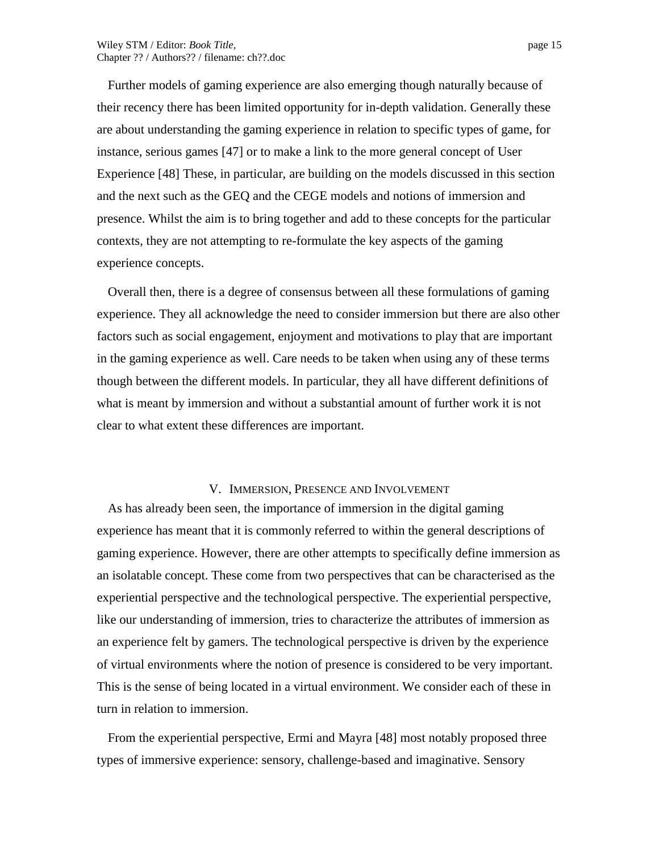Further models of gaming experience are also emerging though naturally because of their recency there has been limited opportunity for in-depth validation. Generally these are about understanding the gaming experience in relation to specific types of game, for instance, serious games [\[47\]](#page-29-24) or to make a link to the more general concept of User Experience [\[48\]](#page-29-25) These, in particular, are building on the models discussed in this section and the next such as the GEQ and the CEGE models and notions of immersion and presence. Whilst the aim is to bring together and add to these concepts for the particular contexts, they are not attempting to re-formulate the key aspects of the gaming experience concepts.

Overall then, there is a degree of consensus between all these formulations of gaming experience. They all acknowledge the need to consider immersion but there are also other factors such as social engagement, enjoyment and motivations to play that are important in the gaming experience as well. Care needs to be taken when using any of these terms though between the different models. In particular, they all have different definitions of what is meant by immersion and without a substantial amount of further work it is not clear to what extent these differences are important.

#### V. IMMERSION, PRESENCE AND INVOLVEMENT

As has already been seen, the importance of immersion in the digital gaming experience has meant that it is commonly referred to within the general descriptions of gaming experience. However, there are other attempts to specifically define immersion as an isolatable concept. These come from two perspectives that can be characterised as the experiential perspective and the technological perspective. The experiential perspective, like our understanding of immersion, tries to characterize the attributes of immersion as an experience felt by gamers. The technological perspective is driven by the experience of virtual environments where the notion of presence is considered to be very important. This is the sense of being located in a virtual environment. We consider each of these in turn in relation to immersion.

From the experiential perspective, Ermi and Mayra [\[48\]](#page-29-26) most notably proposed three types of immersive experience: sensory, challenge-based and imaginative. Sensory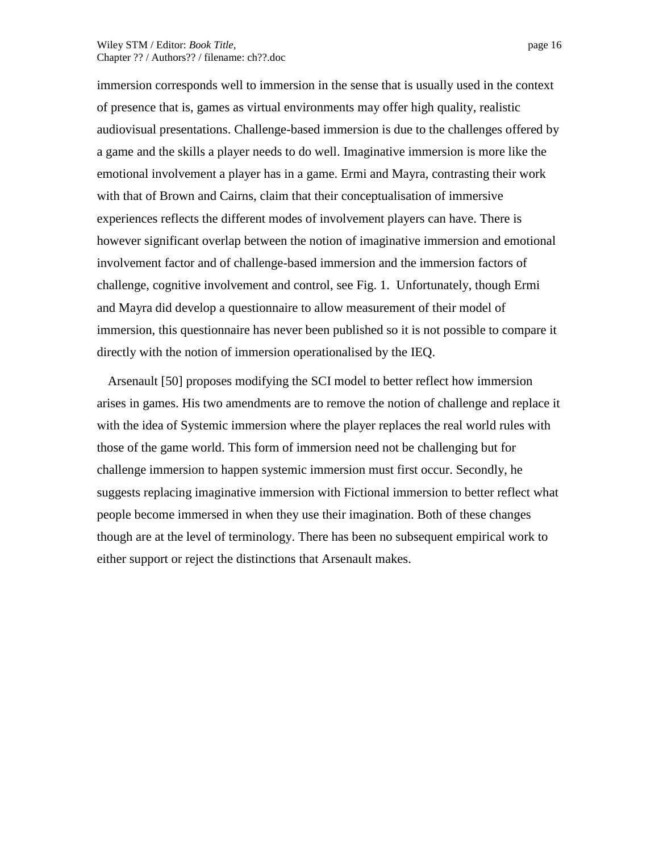immersion corresponds well to immersion in the sense that is usually used in the context of presence that is, games as virtual environments may offer high quality, realistic audiovisual presentations. Challenge-based immersion is due to the challenges offered by a game and the skills a player needs to do well. Imaginative immersion is more like the emotional involvement a player has in a game. Ermi and Mayra, contrasting their work with that of Brown and Cairns, claim that their conceptualisation of immersive experiences reflects the different modes of involvement players can have. There is however significant overlap between the notion of imaginative immersion and emotional involvement factor and of challenge-based immersion and the immersion factors of challenge, cognitive involvement and control, see Fig. 1. Unfortunately, though Ermi and Mayra did develop a questionnaire to allow measurement of their model of immersion, this questionnaire has never been published so it is not possible to compare it directly with the notion of immersion operationalised by the IEQ.

Arsenault [\[50\]](#page-29-27) proposes modifying the SCI model to better reflect how immersion arises in games. His two amendments are to remove the notion of challenge and replace it with the idea of Systemic immersion where the player replaces the real world rules with those of the game world. This form of immersion need not be challenging but for challenge immersion to happen systemic immersion must first occur. Secondly, he suggests replacing imaginative immersion with Fictional immersion to better reflect what people become immersed in when they use their imagination. Both of these changes though are at the level of terminology. There has been no subsequent empirical work to either support or reject the distinctions that Arsenault makes.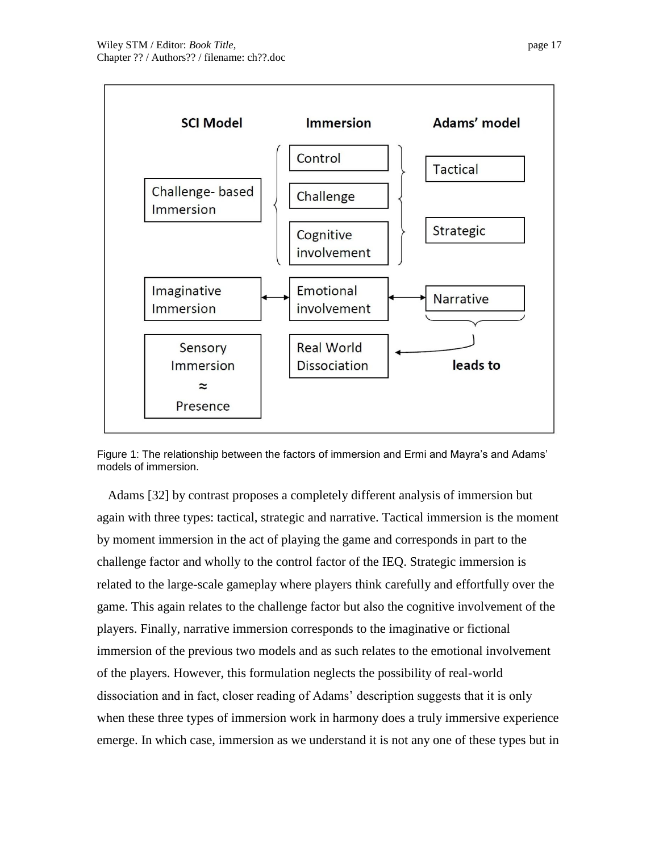

Figure 1: The relationship between the factors of immersion and Ermi and Mayra's and Adams' models of immersion.

Adams [\[32\]](#page-29-9) by contrast proposes a completely different analysis of immersion but again with three types: tactical, strategic and narrative. Tactical immersion is the moment by moment immersion in the act of playing the game and corresponds in part to the challenge factor and wholly to the control factor of the IEQ. Strategic immersion is related to the large-scale gameplay where players think carefully and effortfully over the game. This again relates to the challenge factor but also the cognitive involvement of the players. Finally, narrative immersion corresponds to the imaginative or fictional immersion of the previous two models and as such relates to the emotional involvement of the players. However, this formulation neglects the possibility of real-world dissociation and in fact, closer reading of Adams' description suggests that it is only when these three types of immersion work in harmony does a truly immersive experience emerge. In which case, immersion as we understand it is not any one of these types but in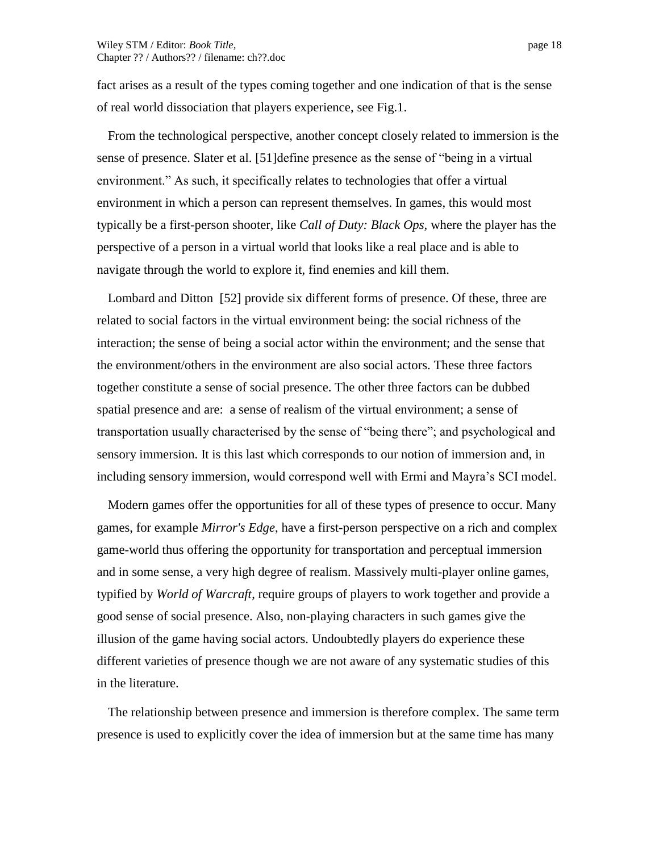fact arises as a result of the types coming together and one indication of that is the sense of real world dissociation that players experience, see Fig.1.

From the technological perspective, another concept closely related to immersion is the sense of presence. Slater et al. [51] define presence as the sense of "being in a virtual environment." As such, it specifically relates to technologies that offer a virtual environment in which a person can represent themselves. In games, this would most typically be a first-person shooter, like *Call of Duty: Black Ops,* where the player has the perspective of a person in a virtual world that looks like a real place and is able to navigate through the world to explore it, find enemies and kill them.

Lombard and Ditton [\[52\]](#page-30-0) provide six different forms of presence. Of these, three are related to social factors in the virtual environment being: the social richness of the interaction; the sense of being a social actor within the environment; and the sense that the environment/others in the environment are also social actors. These three factors together constitute a sense of social presence. The other three factors can be dubbed spatial presence and are: a sense of realism of the virtual environment; a sense of transportation usually characterised by the sense of "being there"; and psychological and sensory immersion. It is this last which corresponds to our notion of immersion and, in including sensory immersion, would correspond well with Ermi and Mayra's SCI model.

Modern games offer the opportunities for all of these types of presence to occur. Many games, for example *Mirror's Edge*, have a first-person perspective on a rich and complex game-world thus offering the opportunity for transportation and perceptual immersion and in some sense, a very high degree of realism. Massively multi-player online games, typified by *World of Warcraft*, require groups of players to work together and provide a good sense of social presence. Also, non-playing characters in such games give the illusion of the game having social actors. Undoubtedly players do experience these different varieties of presence though we are not aware of any systematic studies of this in the literature.

The relationship between presence and immersion is therefore complex. The same term presence is used to explicitly cover the idea of immersion but at the same time has many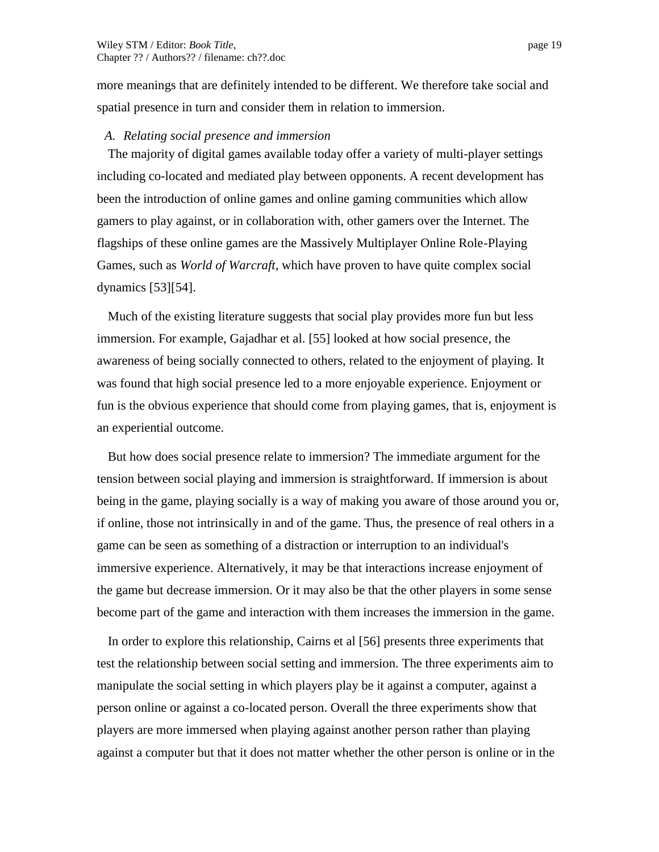more meanings that are definitely intended to be different. We therefore take social and spatial presence in turn and consider them in relation to immersion.

#### *A. Relating social presence and immersion*

The majority of digital games available today offer a variety of multi-player settings including co-located and mediated play between opponents. A recent development has been the introduction of online games and online gaming communities which allow gamers to play against, or in collaboration with, other gamers over the Internet. The flagships of these online games are the Massively Multiplayer Online Role-Playing Games, such as *World of Warcraft*, which have proven to have quite complex social dynamics [\[53\]\[54\].](#page-30-1)

Much of the existing literature suggests that social play provides more fun but less immersion. For example, Gajadhar et al. [\[55\]](#page-30-2) looked at how social presence, the awareness of being socially connected to others, related to the enjoyment of playing. It was found that high social presence led to a more enjoyable experience. Enjoyment or fun is the obvious experience that should come from playing games, that is, enjoyment is an experiential outcome.

But how does social presence relate to immersion? The immediate argument for the tension between social playing and immersion is straightforward. If immersion is about being in the game, playing socially is a way of making you aware of those around you or, if online, those not intrinsically in and of the game. Thus, the presence of real others in a game can be seen as something of a distraction or interruption to an individual's immersive experience. Alternatively, it may be that interactions increase enjoyment of the game but decrease immersion. Or it may also be that the other players in some sense become part of the game and interaction with them increases the immersion in the game.

In order to explore this relationship, Cairns et al [\[56\]](#page-30-3) presents three experiments that test the relationship between social setting and immersion. The three experiments aim to manipulate the social setting in which players play be it against a computer, against a person online or against a co-located person. Overall the three experiments show that players are more immersed when playing against another person rather than playing against a computer but that it does not matter whether the other person is online or in the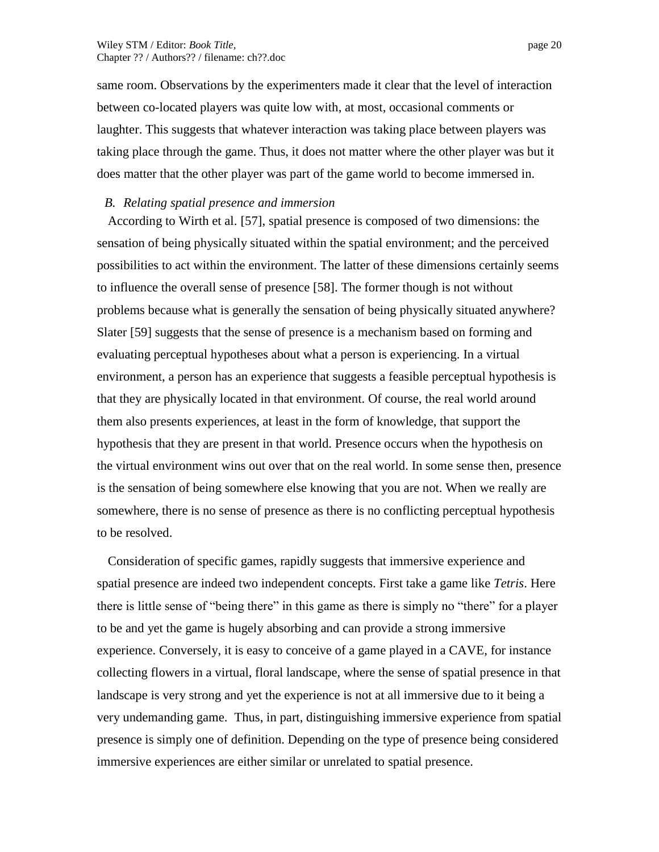same room. Observations by the experimenters made it clear that the level of interaction between co-located players was quite low with, at most, occasional comments or laughter. This suggests that whatever interaction was taking place between players was taking place through the game. Thus, it does not matter where the other player was but it does matter that the other player was part of the game world to become immersed in.

#### *B. Relating spatial presence and immersion*

According to Wirth et al. [\[57\],](#page-30-4) spatial presence is composed of two dimensions: the sensation of being physically situated within the spatial environment; and the perceived possibilities to act within the environment. The latter of these dimensions certainly seems to influence the overall sense of presence [\[58\].](#page-30-5) The former though is not without problems because what is generally the sensation of being physically situated anywhere? Slater [\[59\]](#page-30-6) suggests that the sense of presence is a mechanism based on forming and evaluating perceptual hypotheses about what a person is experiencing. In a virtual environment, a person has an experience that suggests a feasible perceptual hypothesis is that they are physically located in that environment. Of course, the real world around them also presents experiences, at least in the form of knowledge, that support the hypothesis that they are present in that world. Presence occurs when the hypothesis on the virtual environment wins out over that on the real world. In some sense then, presence is the sensation of being somewhere else knowing that you are not. When we really are somewhere, there is no sense of presence as there is no conflicting perceptual hypothesis to be resolved.

Consideration of specific games, rapidly suggests that immersive experience and spatial presence are indeed two independent concepts. First take a game like *Tetris*. Here there is little sense of "being there" in this game as there is simply no "there" for a player to be and yet the game is hugely absorbing and can provide a strong immersive experience. Conversely, it is easy to conceive of a game played in a CAVE, for instance collecting flowers in a virtual, floral landscape, where the sense of spatial presence in that landscape is very strong and yet the experience is not at all immersive due to it being a very undemanding game. Thus, in part, distinguishing immersive experience from spatial presence is simply one of definition. Depending on the type of presence being considered immersive experiences are either similar or unrelated to spatial presence.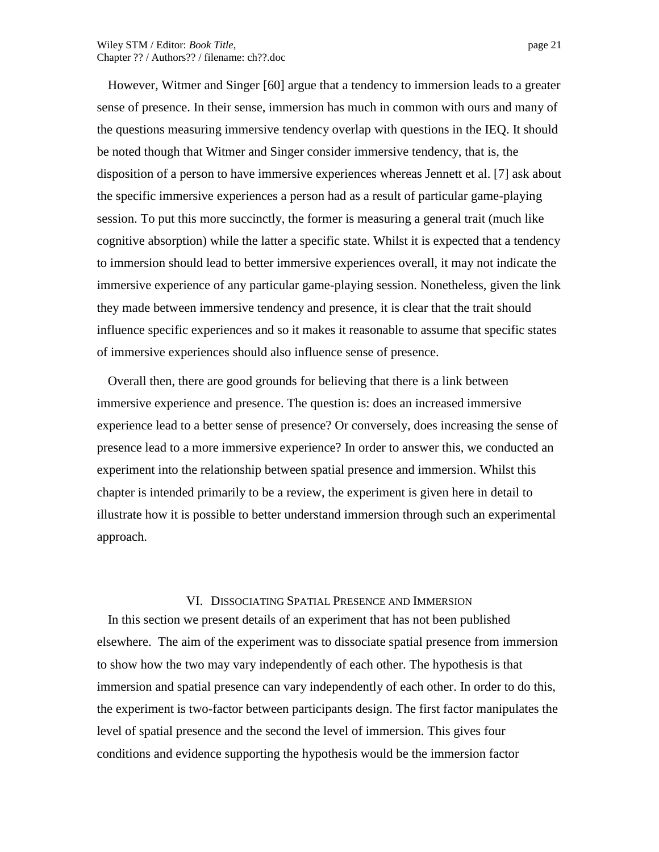However, Witmer and Singer [\[60\]](#page-30-7) argue that a tendency to immersion leads to a greater sense of presence. In their sense, immersion has much in common with ours and many of the questions measuring immersive tendency overlap with questions in the IEQ. It should be noted though that Witmer and Singer consider immersive tendency, that is, the disposition of a person to have immersive experiences whereas Jennett et al. [\[7\]](#page-28-7) ask about the specific immersive experiences a person had as a result of particular game-playing session. To put this more succinctly, the former is measuring a general trait (much like cognitive absorption) while the latter a specific state. Whilst it is expected that a tendency to immersion should lead to better immersive experiences overall, it may not indicate the immersive experience of any particular game-playing session. Nonetheless, given the link they made between immersive tendency and presence, it is clear that the trait should influence specific experiences and so it makes it reasonable to assume that specific states of immersive experiences should also influence sense of presence.

Overall then, there are good grounds for believing that there is a link between immersive experience and presence. The question is: does an increased immersive experience lead to a better sense of presence? Or conversely, does increasing the sense of presence lead to a more immersive experience? In order to answer this, we conducted an experiment into the relationship between spatial presence and immersion. Whilst this chapter is intended primarily to be a review, the experiment is given here in detail to illustrate how it is possible to better understand immersion through such an experimental approach.

#### VI. DISSOCIATING SPATIAL PRESENCE AND IMMERSION

In this section we present details of an experiment that has not been published elsewhere. The aim of the experiment was to dissociate spatial presence from immersion to show how the two may vary independently of each other. The hypothesis is that immersion and spatial presence can vary independently of each other. In order to do this, the experiment is two-factor between participants design. The first factor manipulates the level of spatial presence and the second the level of immersion. This gives four conditions and evidence supporting the hypothesis would be the immersion factor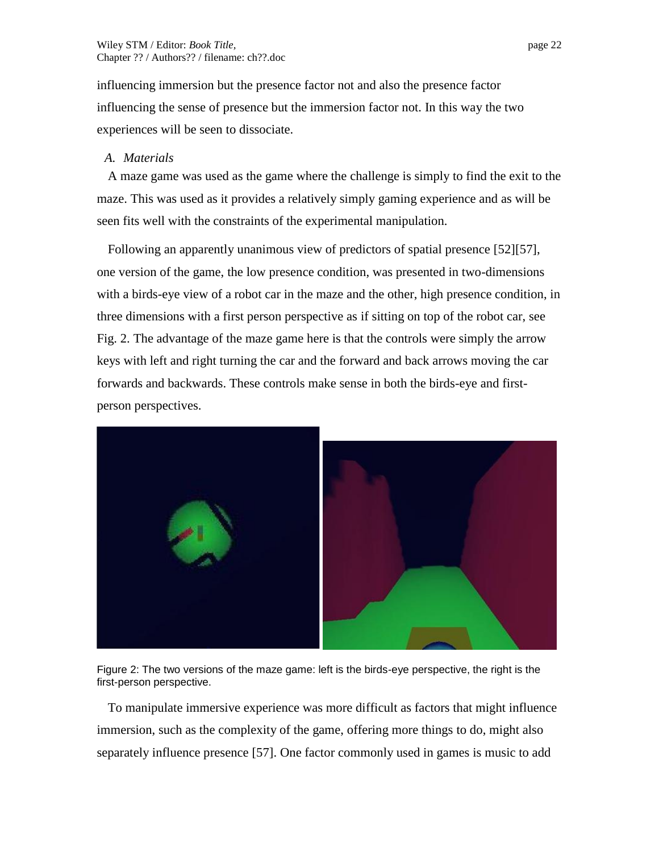influencing immersion but the presence factor not and also the presence factor influencing the sense of presence but the immersion factor not. In this way the two experiences will be seen to dissociate.

# *A. Materials*

A maze game was used as the game where the challenge is simply to find the exit to the maze. This was used as it provides a relatively simply gaming experience and as will be seen fits well with the constraints of the experimental manipulation.

Following an apparently unanimous view of predictors of spatial presence [\[52\]\[57\],](#page-30-0) one version of the game, the low presence condition, was presented in two-dimensions with a birds-eye view of a robot car in the maze and the other, high presence condition, in three dimensions with a first person perspective as if sitting on top of the robot car, see Fig. 2. The advantage of the maze game here is that the controls were simply the arrow keys with left and right turning the car and the forward and back arrows moving the car forwards and backwards. These controls make sense in both the birds-eye and firstperson perspectives.



Figure 2: The two versions of the maze game: left is the birds-eye perspective, the right is the first-person perspective.

To manipulate immersive experience was more difficult as factors that might influence immersion, such as the complexity of the game, offering more things to do, might also separately influence presence [\[57\].](#page-30-4) One factor commonly used in games is music to add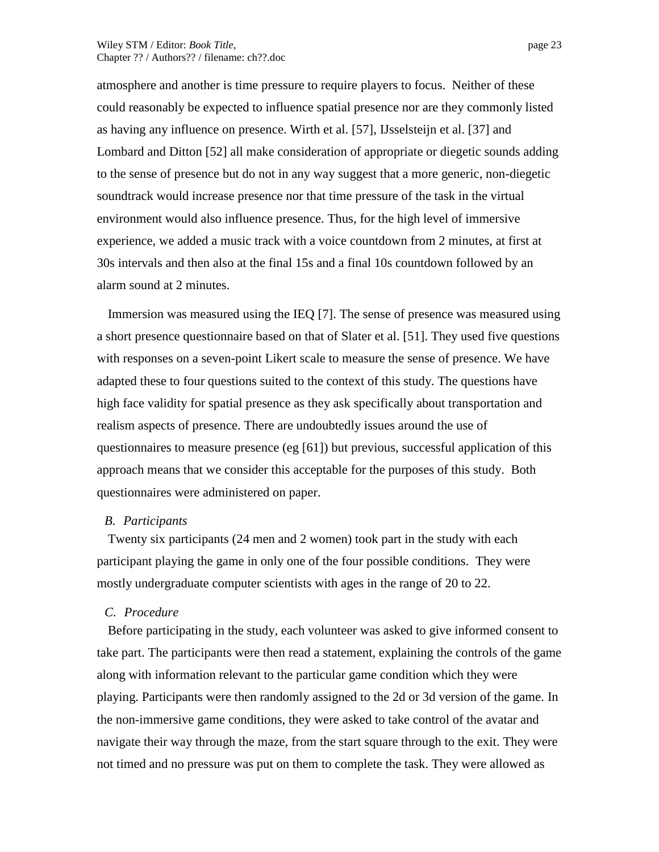atmosphere and another is time pressure to require players to focus. Neither of these could reasonably be expected to influence spatial presence nor are they commonly listed as having any influence on presence. Wirth et al. [\[57\],](#page-30-4) IJsselsteijn et al. [\[37\]](#page-29-14) and Lombard and Ditton [\[52\]](#page-30-0) all make consideration of appropriate or diegetic sounds adding to the sense of presence but do not in any way suggest that a more generic, non-diegetic soundtrack would increase presence nor that time pressure of the task in the virtual environment would also influence presence. Thus, for the high level of immersive experience, we added a music track with a voice countdown from 2 minutes, at first at 30s intervals and then also at the final 15s and a final 10s countdown followed by an alarm sound at 2 minutes.

Immersion was measured using the IEQ [\[7\].](#page-28-7) The sense of presence was measured using a short presence questionnaire based on that of Slater et al. [\[51\].](#page-29-28) They used five questions with responses on a seven-point Likert scale to measure the sense of presence. We have adapted these to four questions suited to the context of this study. The questions have high face validity for spatial presence as they ask specifically about transportation and realism aspects of presence. There are undoubtedly issues around the use of questionnaires to measure presence (eg  $[61]$ ) but previous, successful application of this approach means that we consider this acceptable for the purposes of this study. Both questionnaires were administered on paper.

#### *B. Participants*

Twenty six participants (24 men and 2 women) took part in the study with each participant playing the game in only one of the four possible conditions. They were mostly undergraduate computer scientists with ages in the range of 20 to 22.

#### *C. Procedure*

Before participating in the study, each volunteer was asked to give informed consent to take part. The participants were then read a statement, explaining the controls of the game along with information relevant to the particular game condition which they were playing. Participants were then randomly assigned to the 2d or 3d version of the game. In the non-immersive game conditions, they were asked to take control of the avatar and navigate their way through the maze, from the start square through to the exit. They were not timed and no pressure was put on them to complete the task. They were allowed as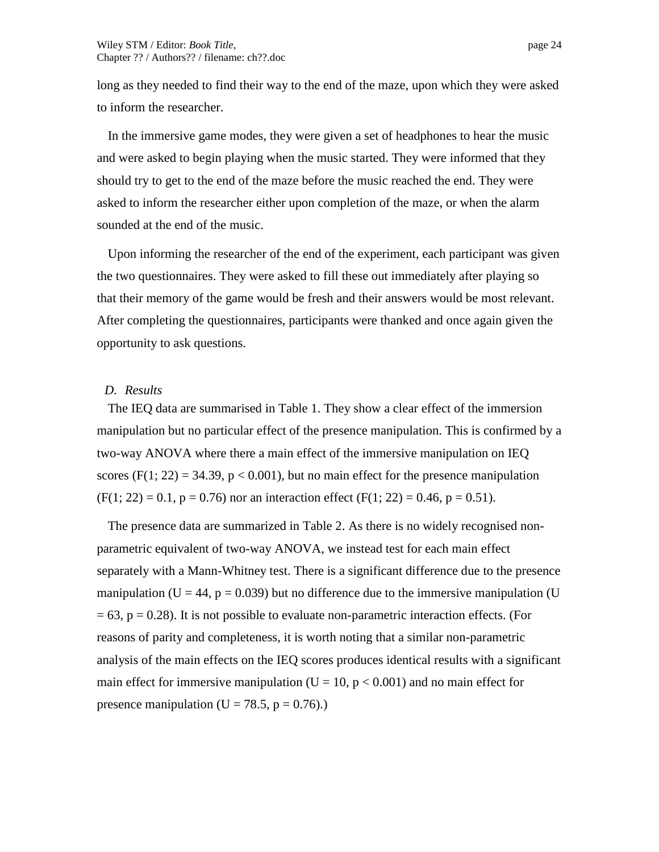long as they needed to find their way to the end of the maze, upon which they were asked to inform the researcher.

In the immersive game modes, they were given a set of headphones to hear the music and were asked to begin playing when the music started. They were informed that they should try to get to the end of the maze before the music reached the end. They were asked to inform the researcher either upon completion of the maze, or when the alarm sounded at the end of the music.

Upon informing the researcher of the end of the experiment, each participant was given the two questionnaires. They were asked to fill these out immediately after playing so that their memory of the game would be fresh and their answers would be most relevant. After completing the questionnaires, participants were thanked and once again given the opportunity to ask questions.

### *D. Results*

The IEQ data are summarised in Table 1. They show a clear effect of the immersion manipulation but no particular effect of the presence manipulation. This is confirmed by a two-way ANOVA where there a main effect of the immersive manipulation on IEQ scores (F(1; 22) = 34.39,  $p < 0.001$ ), but no main effect for the presence manipulation  $(F(1; 22) = 0.1, p = 0.76)$  nor an interaction effect  $(F(1; 22) = 0.46, p = 0.51)$ .

The presence data are summarized in Table 2. As there is no widely recognised nonparametric equivalent of two-way ANOVA, we instead test for each main effect separately with a Mann-Whitney test. There is a significant difference due to the presence manipulation ( $U = 44$ ,  $p = 0.039$ ) but no difference due to the immersive manipulation (U  $= 63$ ,  $p = 0.28$ ). It is not possible to evaluate non-parametric interaction effects. (For reasons of parity and completeness, it is worth noting that a similar non-parametric analysis of the main effects on the IEQ scores produces identical results with a significant main effect for immersive manipulation ( $U = 10$ ,  $p < 0.001$ ) and no main effect for presence manipulation (U = 78.5,  $p = 0.76$ ).)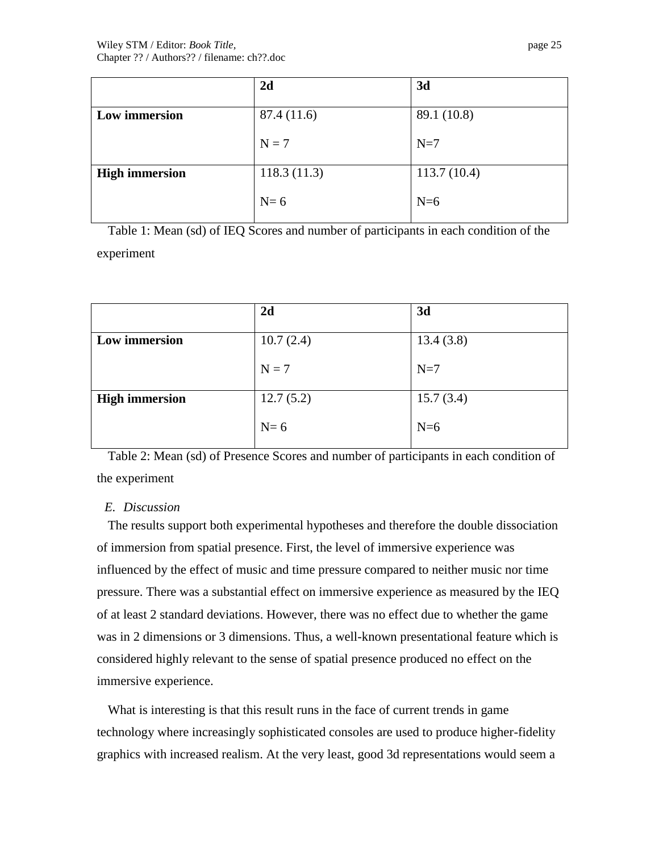|                       | 2d          | 3d          |
|-----------------------|-------------|-------------|
| Low immersion         | 87.4 (11.6) | 89.1 (10.8) |
|                       | $N = 7$     | $N=7$       |
| <b>High immersion</b> | 118.3(11.3) | 113.7(10.4) |
|                       | $N=6$       | $N=6$       |

Table 1: Mean (sd) of IEQ Scores and number of participants in each condition of the experiment

|                       | 2d        | 3d        |
|-----------------------|-----------|-----------|
| Low immersion         | 10.7(2.4) | 13.4(3.8) |
|                       | $N = 7$   | $N=7$     |
| <b>High immersion</b> | 12.7(5.2) | 15.7(3.4) |
|                       | $N=6$     | $N=6$     |

Table 2: Mean (sd) of Presence Scores and number of participants in each condition of the experiment

# *E. Discussion*

The results support both experimental hypotheses and therefore the double dissociation of immersion from spatial presence. First, the level of immersive experience was influenced by the effect of music and time pressure compared to neither music nor time pressure. There was a substantial effect on immersive experience as measured by the IEQ of at least 2 standard deviations. However, there was no effect due to whether the game was in 2 dimensions or 3 dimensions. Thus, a well-known presentational feature which is considered highly relevant to the sense of spatial presence produced no effect on the immersive experience.

What is interesting is that this result runs in the face of current trends in game technology where increasingly sophisticated consoles are used to produce higher-fidelity graphics with increased realism. At the very least, good 3d representations would seem a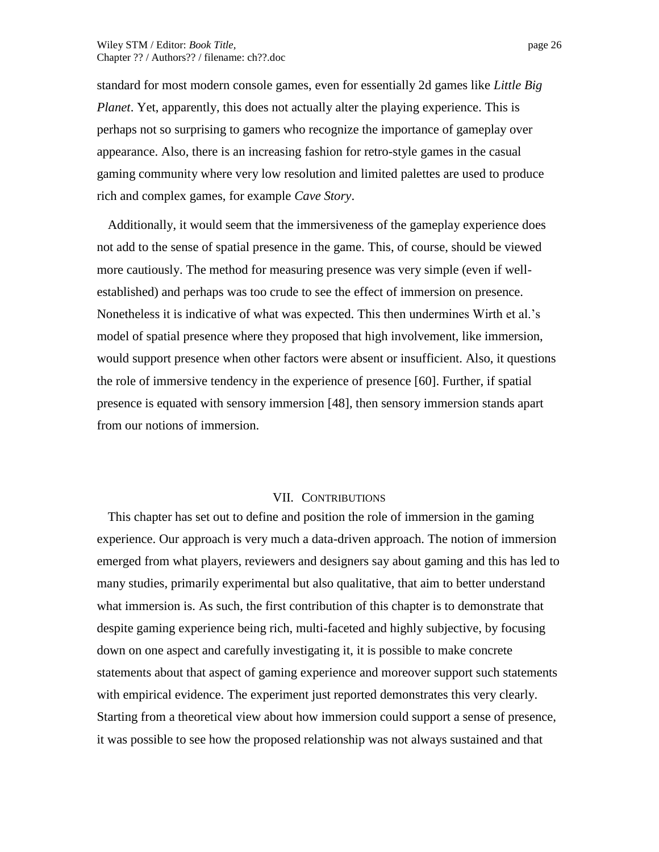standard for most modern console games, even for essentially 2d games like *Little Big Planet*. Yet, apparently, this does not actually alter the playing experience. This is perhaps not so surprising to gamers who recognize the importance of gameplay over appearance. Also, there is an increasing fashion for retro-style games in the casual gaming community where very low resolution and limited palettes are used to produce rich and complex games, for example *Cave Story*.

Additionally, it would seem that the immersiveness of the gameplay experience does not add to the sense of spatial presence in the game. This, of course, should be viewed more cautiously. The method for measuring presence was very simple (even if wellestablished) and perhaps was too crude to see the effect of immersion on presence. Nonetheless it is indicative of what was expected. This then undermines Wirth et al.'s model of spatial presence where they proposed that high involvement, like immersion, would support presence when other factors were absent or insufficient. Also, it questions the role of immersive tendency in the experience of presence [\[60\].](#page-30-7) Further, if spatial presence is equated with sensory immersion [\[48\],](#page-29-26) then sensory immersion stands apart from our notions of immersion.

#### VII. CONTRIBUTIONS

This chapter has set out to define and position the role of immersion in the gaming experience. Our approach is very much a data-driven approach. The notion of immersion emerged from what players, reviewers and designers say about gaming and this has led to many studies, primarily experimental but also qualitative, that aim to better understand what immersion is. As such, the first contribution of this chapter is to demonstrate that despite gaming experience being rich, multi-faceted and highly subjective, by focusing down on one aspect and carefully investigating it, it is possible to make concrete statements about that aspect of gaming experience and moreover support such statements with empirical evidence. The experiment just reported demonstrates this very clearly. Starting from a theoretical view about how immersion could support a sense of presence, it was possible to see how the proposed relationship was not always sustained and that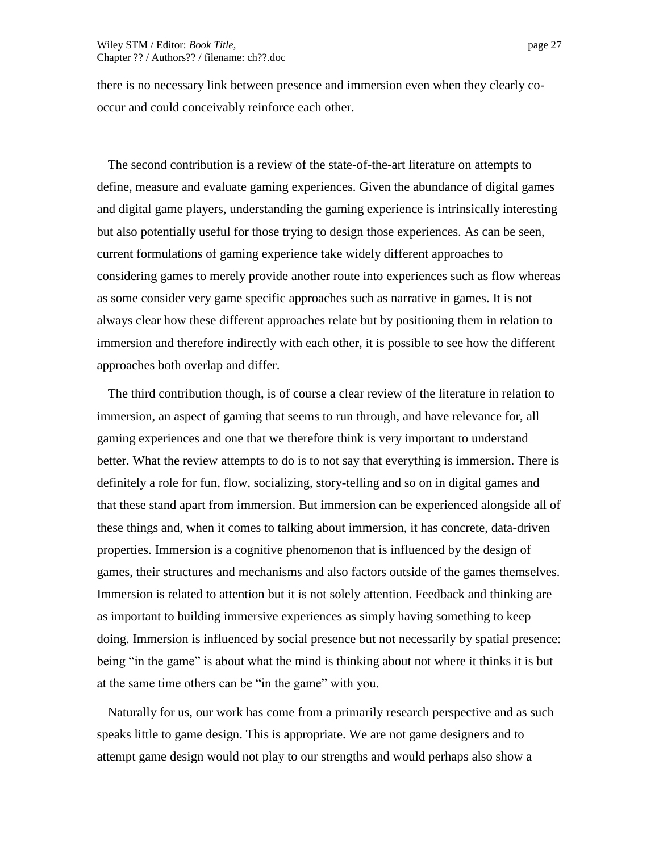there is no necessary link between presence and immersion even when they clearly cooccur and could conceivably reinforce each other.

The second contribution is a review of the state-of-the-art literature on attempts to define, measure and evaluate gaming experiences. Given the abundance of digital games and digital game players, understanding the gaming experience is intrinsically interesting but also potentially useful for those trying to design those experiences. As can be seen, current formulations of gaming experience take widely different approaches to considering games to merely provide another route into experiences such as flow whereas as some consider very game specific approaches such as narrative in games. It is not always clear how these different approaches relate but by positioning them in relation to immersion and therefore indirectly with each other, it is possible to see how the different approaches both overlap and differ.

The third contribution though, is of course a clear review of the literature in relation to immersion, an aspect of gaming that seems to run through, and have relevance for, all gaming experiences and one that we therefore think is very important to understand better. What the review attempts to do is to not say that everything is immersion. There is definitely a role for fun, flow, socializing, story-telling and so on in digital games and that these stand apart from immersion. But immersion can be experienced alongside all of these things and, when it comes to talking about immersion, it has concrete, data-driven properties. Immersion is a cognitive phenomenon that is influenced by the design of games, their structures and mechanisms and also factors outside of the games themselves. Immersion is related to attention but it is not solely attention. Feedback and thinking are as important to building immersive experiences as simply having something to keep doing. Immersion is influenced by social presence but not necessarily by spatial presence: being "in the game" is about what the mind is thinking about not where it thinks it is but at the same time others can be "in the game" with you.

Naturally for us, our work has come from a primarily research perspective and as such speaks little to game design. This is appropriate. We are not game designers and to attempt game design would not play to our strengths and would perhaps also show a

page 27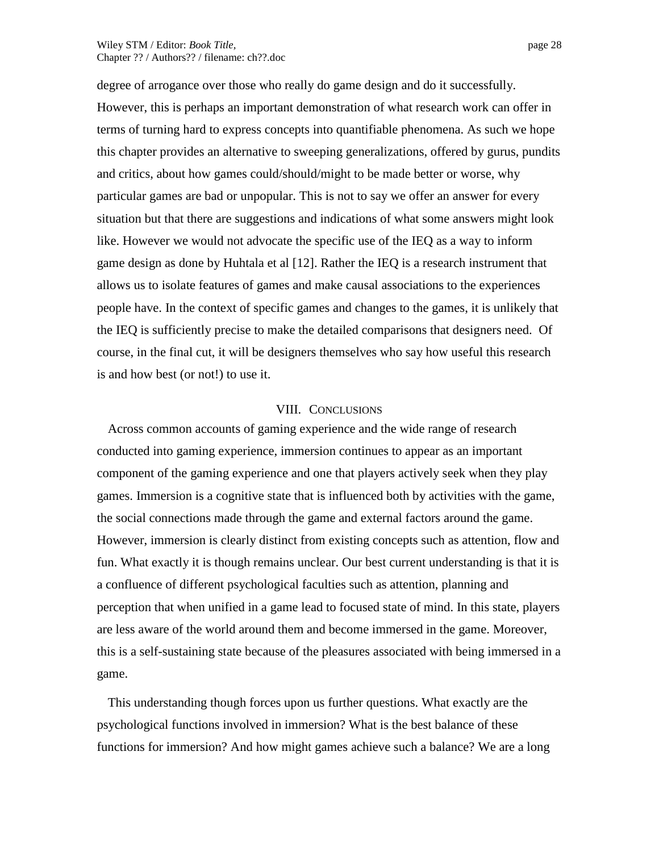is and how best (or not!) to use it.

degree of arrogance over those who really do game design and do it successfully. However, this is perhaps an important demonstration of what research work can offer in terms of turning hard to express concepts into quantifiable phenomena. As such we hope this chapter provides an alternative to sweeping generalizations, offered by gurus, pundits and critics, about how games could/should/might to be made better or worse, why particular games are bad or unpopular. This is not to say we offer an answer for every situation but that there are suggestions and indications of what some answers might look like. However we would not advocate the specific use of the IEQ as a way to inform game design as done by Huhtala et al [\[12\].](#page-28-11) Rather the IEQ is a research instrument that allows us to isolate features of games and make causal associations to the experiences people have. In the context of specific games and changes to the games, it is unlikely that the IEQ is sufficiently precise to make the detailed comparisons that designers need. Of course, in the final cut, it will be designers themselves who say how useful this research

Across common accounts of gaming experience and the wide range of research conducted into gaming experience, immersion continues to appear as an important component of the gaming experience and one that players actively seek when they play games. Immersion is a cognitive state that is influenced both by activities with the game, the social connections made through the game and external factors around the game. However, immersion is clearly distinct from existing concepts such as attention, flow and fun. What exactly it is though remains unclear. Our best current understanding is that it is a confluence of different psychological faculties such as attention, planning and perception that when unified in a game lead to focused state of mind. In this state, players are less aware of the world around them and become immersed in the game. Moreover, this is a self-sustaining state because of the pleasures associated with being immersed in a game.

VIII. CONCLUSIONS

This understanding though forces upon us further questions. What exactly are the psychological functions involved in immersion? What is the best balance of these functions for immersion? And how might games achieve such a balance? We are a long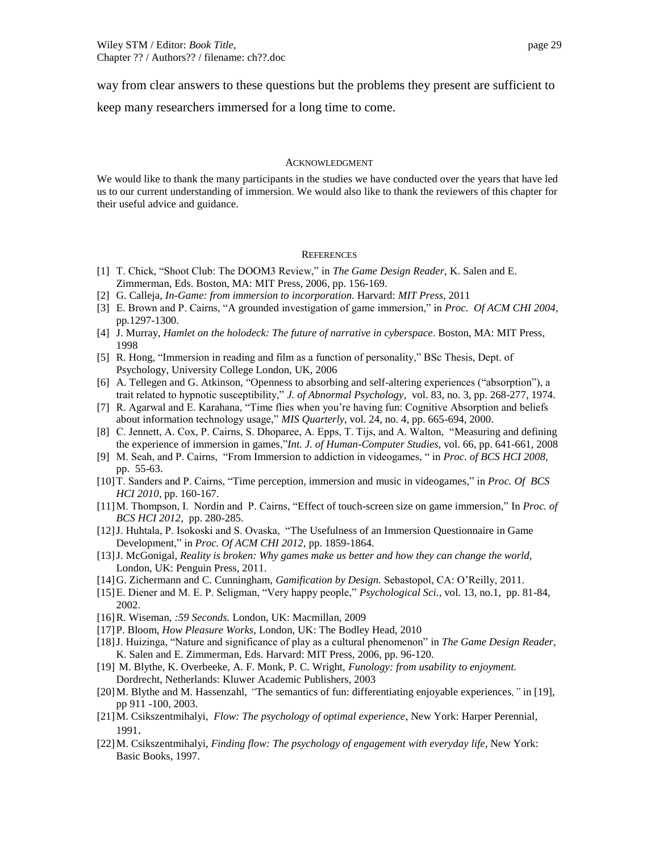way from clear answers to these questions but the problems they present are sufficient to

keep many researchers immersed for a long time to come.

#### ACKNOWLEDGMENT

We would like to thank the many participants in the studies we have conducted over the years that have led us to our current understanding of immersion. We would also like to thank the reviewers of this chapter for their useful advice and guidance.

#### <span id="page-28-7"></span>**REFERENCES**

- <span id="page-28-0"></span>[1] T. Chick, "Shoot Club: The DOOM3 Review," in *The Game Design Reader,* K. Salen and E. Zimmerman, Eds. Boston, MA: MIT Press, 2006, pp. 156-169.
- <span id="page-28-1"></span>[2] G. Calleja, *In-Game: from immersion to incorporation.* Harvard: *MIT Press*, 2011
- <span id="page-28-2"></span>[3] E. Brown and P. Cairns, "A grounded investigation of game immersion," in *Proc. Of ACM CHI 2004,*  pp*.*1297-1300.
- <span id="page-28-3"></span>[4] J. Murray, *Hamlet on the holodeck: The future of narrative in cyberspace*. Boston, MA: MIT Press*,*  1998
- <span id="page-28-4"></span>[5] R. Hong, "Immersion in reading and film as a function of personality," BSc Thesis, Dept. of Psychology, University College London, UK, 2006
- <span id="page-28-5"></span>[6] A. Tellegen and G. Atkinson, "Openness to absorbing and self-altering experiences ("absorption"), a trait related to hypnotic susceptibility," *J. of Abnormal Psychology*, vol. 83, no. 3, pp. 268-277, 1974.
- <span id="page-28-6"></span>[7] R. Agarwal and E. Karahana, "Time flies when you're having fun: Cognitive Absorption and beliefs about information technology usage," *MIS Quarterly*, vol. 24, no. 4, pp. 665-694, 2000.
- [8] C. Jennett, A. Cox, P. Cairns, S. Dhoparee, A. Epps, T. Tijs, and A. Walton, "Measuring and defining the experience of immersion in games,"*Int. J. of Human-Computer Studies,* vol. 66, pp. 641-661, 2008
- <span id="page-28-8"></span>[9] M. Seah, and P. Cairns, "From Immersion to addiction in videogames, " in *Proc. of BCS HCI 2008,*  pp. 55-63.
- <span id="page-28-9"></span>[10]T. Sanders and P. Cairns, "Time perception, immersion and music in videogames," in *Proc. Of BCS HCI 2010*, pp. 160-167.
- <span id="page-28-10"></span>[11]M. Thompson, I. Nordin and P. Cairns, "Effect of touch-screen size on game immersion," In *Proc. of BCS HCI 2012*, pp. 280-285.
- <span id="page-28-11"></span>[12]J. Huhtala, P. Isokoski and S. Ovaska, "The Usefulness of an Immersion Questionnaire in Game Development," in *Proc. Of ACM CHI 2012,* pp. 1859-1864.
- <span id="page-28-12"></span>[13]J. McGonigal*, Reality is broken: Why games make us better and how they can change the world,* London, UK: Penguin Press*,* 2011.
- <span id="page-28-13"></span>[14]G. Zichermann and C. Cunningham, *Gamification by Design.* Sebastopol, CA: O'Reilly, 2011.
- <span id="page-28-14"></span>[15]E. Diener and M. E. P. Seligman, "Very happy people," *Psychological Sci.,* vol. 13, no.1, pp. 81-84, 2002.
- <span id="page-28-15"></span>[16]R. Wiseman, *:59 Seconds.* London, UK: Macmillan, 2009
- <span id="page-28-16"></span>[17]P. Bloom, *How Pleasure Works,* London, UK: The Bodley Head, 2010
- <span id="page-28-17"></span>[18]J. Huizinga, "Nature and significance of play as a cultural phenomenon" in *The Game Design Reader,*  K. Salen and E. Zimmerman, Eds. Harvard: MIT Press, 2006, pp. 96-120.
- <span id="page-28-18"></span>[19] M. Blythe, K. Overbeeke, A. F. Monk, P. C. Wright, *Funology: from usability to enjoyment.*  Dordrecht, Netherlands: Kluwer Academic Publishers, 2003
- <span id="page-28-19"></span>[20]M. Blythe and M. Hassenzahl, *"*The semantics of fun: differentiating enjoyable experiences*,"* in [\[19\],](#page-28-18) pp 911 -100, 2003.
- <span id="page-28-20"></span>[21]M. Csikszentmihalyi, *Flow: The psychology of optimal experience*, New York: Harper Perennial*,*  1991.
- <span id="page-28-21"></span>[22]M. Csikszentmihalyi, *Finding flow: The psychology of engagement with everyday life*, New York: Basic Books, 1997.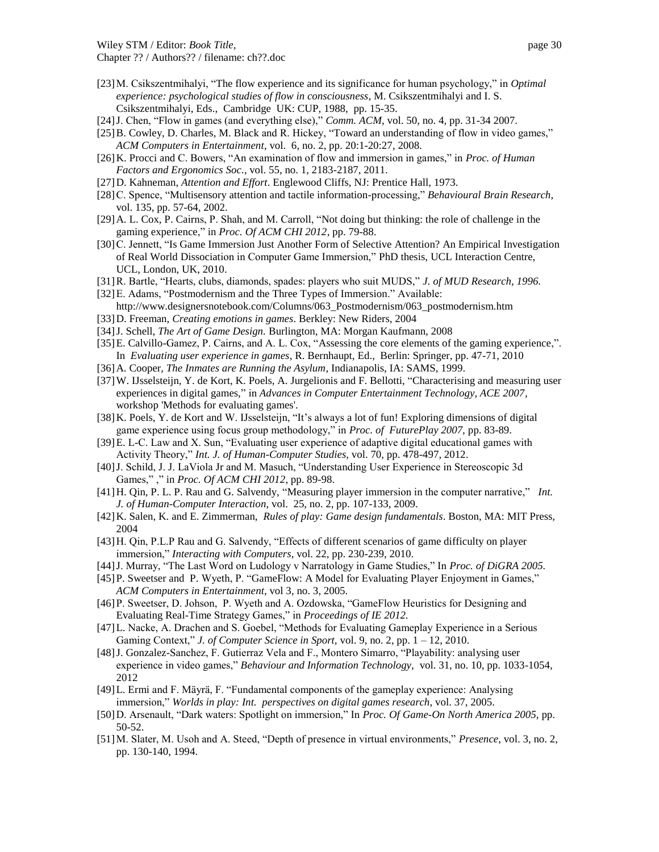- <span id="page-29-0"></span>[23]M. Csikszentmihalyi, "The flow experience and its significance for human psychology," in *Optimal experience: psychological studies of flow in consciousness*, M. Csikszentmihalyi and I. S. Csikszentmihalyi, Eds., Cambridge UK: CUP, 1988, pp. 15-35.
- <span id="page-29-1"></span>[24]J. Chen, "Flow in games (and everything else)," *Comm. ACM*, vol. 50, no. 4, pp. 31-34 2007.
- <span id="page-29-2"></span>[25]B. Cowley, D. Charles, M. Black and R. Hickey, "Toward an understanding of flow in video games," *ACM Computers in Entertainment*, vol. 6, no. 2, pp. 20:1-20:27, 2008.
- <span id="page-29-3"></span>[26]K. Procci and C. Bowers, "An examination of flow and immersion in games," in *Proc. of Human Factors and Ergonomics Soc.,* vol. 55, no. 1, 2183-2187, 2011.
- <span id="page-29-4"></span>[27]D. Kahneman, *Attention and Effort*. Englewood Cliffs, NJ: Prentice Hall, 1973.
- <span id="page-29-5"></span>[28]C. Spence, "Multisensory attention and tactile information-processing," *Behavioural Brain Research*, vol. 135, pp. 57-64, 2002.
- <span id="page-29-6"></span>[29]A. L. Cox, P. Cairns, P. Shah, and M. Carroll, "Not doing but thinking: the role of challenge in the gaming experience," in *Proc. Of ACM CHI 2012*, pp. 79-88.
- <span id="page-29-7"></span>[30]C. Jennett, "Is Game Immersion Just Another Form of Selective Attention? An Empirical Investigation of Real World Dissociation in Computer Game Immersion," PhD thesis, UCL Interaction Centre, UCL, London, UK, 2010.
- <span id="page-29-8"></span>[31]R. Bartle, "Hearts, clubs, diamonds, spades: players who suit MUDS," *J. of MUD Research, 1996.*
- <span id="page-29-9"></span>[32]E. Adams, "Postmodernism and the Three Types of Immersion." Available: http://www.designersnotebook.com/Columns/063\_Postmodernism/063\_postmodernism.htm
- <span id="page-29-10"></span>[33]D. Freeman, *Creating emotions in games*. Berkley: New Riders, 2004
- <span id="page-29-11"></span>[34]J. Schell, *The Art of Game Design.* Burlington, MA: Morgan Kaufmann, 2008
- <span id="page-29-12"></span>[35]E. Calvillo-Gamez, P. Cairns, and A. L. Cox, "Assessing the core elements of the gaming experience,". In *Evaluating user experience in games*, R. Bernhaupt, Ed., Berlin: Springer, pp. 47-71, 2010
- <span id="page-29-13"></span>[36]A. Cooper, *The Inmates are Running the Asylum*, Indianapolis, IA: SAMS, 1999.
- <span id="page-29-14"></span>[37]W. IJsselsteijn, Y. de Kort, K. Poels, A. Jurgelionis and F. Bellotti, "Characterising and measuring user experiences in digital games," in *Advances in Computer Entertainment Technology, ACE 2007*, workshop 'Methods for evaluating games'.
- <span id="page-29-15"></span>[38]K. Poels, Y. de Kort and W. IJsselsteijn, "It's always a lot of fun! Exploring dimensions of digital game experience using focus group methodology," in *Proc. of FuturePlay 2007,* pp. 83-89.
- <span id="page-29-16"></span>[39]E. L-C. Law and X. Sun, "Evaluating user experience of adaptive digital educational games with Activity Theory," *Int. J. of Human-Computer Studies,* vol. 70, pp. 478-497, 2012.
- <span id="page-29-17"></span>[40]J. Schild, J. J. LaViola Jr and M. Masuch, "Understanding User Experience in Stereoscopic 3d Games," ," in *Proc. Of ACM CHI 2012*, pp. 89-98.
- <span id="page-29-18"></span>[41]H. Qin, P. L. P. Rau and G. Salvendy, "Measuring player immersion in the computer narrative," *Int. J. of Human-Computer Interaction*, vol. 25, no. 2, pp. 107-133, 2009.
- <span id="page-29-19"></span>[42]K. Salen, K. and E. Zimmerman, *Rules of play: Game design fundamentals*. Boston, MA: MIT Press*,* 2004
- <span id="page-29-21"></span>[43]H. Qin, P.L.P Rau and G. Salvendy, "Effects of different scenarios of game difficulty on player immersion," *Interacting with Computers*, vol. 22, pp. 230-239, 2010.
- <span id="page-29-20"></span>[44]J. Murray, "The Last Word on Ludology v Narratology in Game Studies," In *Proc. of DiGRA 2005.*
- <span id="page-29-22"></span>[45]P. Sweetser and P. Wyeth, P. "GameFlow: A Model for Evaluating Player Enjoyment in Games," *ACM Computers in Entertainment,* vol 3, no. 3, 2005.
- <span id="page-29-23"></span>[46]P. Sweetser, D. Johson, P. Wyeth and A. Ozdowska, "GameFlow Heuristics for Designing and Evaluating Real-Time Strategy Games," in *Proceedings of IE 2012.*
- <span id="page-29-24"></span>[47]L. Nacke, A. Drachen and S. Goebel, "Methods for Evaluating Gameplay Experience in a Serious Gaming Context," *J. of Computer Science in Sport,* vol. 9, no. 2, pp. 1 – 12, 2010.
- <span id="page-29-25"></span>[48]J. Gonzalez-Sanchez, F. Gutierraz Vela and F., Montero Simarro, "Playability: analysing user experience in video games," *Behaviour and Information Technology,* vol. 31, no. 10, pp. 1033-1054, 2012
- <span id="page-29-26"></span>[49]L. Ermi and F. Mäyrä, F. "Fundamental components of the gameplay experience: Analysing immersion," *Worlds in play: Int. perspectives on digital games research*, vol. 37, 2005.
- <span id="page-29-27"></span>[50]D. Arsenault, "Dark waters: Spotlight on immersion," In *Proc. Of Game-On North America 2005,* pp. 50-52.
- <span id="page-29-28"></span>[51]M. Slater, M. Usoh and A. Steed, "Depth of presence in virtual environments," *Presence*, vol. 3, no. 2, pp. 130-140, 1994.